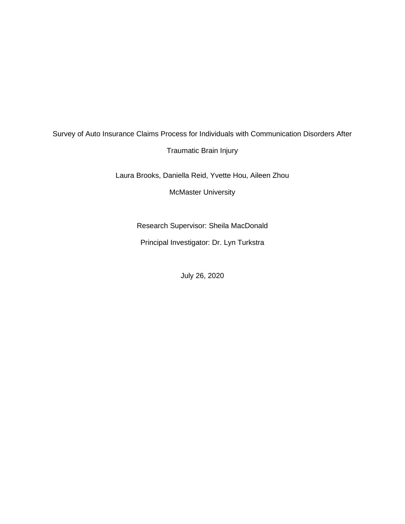# Survey of Auto Insurance Claims Process for Individuals with Communication Disorders After Traumatic Brain Injury

Laura Brooks, Daniella Reid, Yvette Hou, Aileen Zhou

McMaster University

Research Supervisor: Sheila MacDonald

Principal Investigator: Dr. Lyn Turkstra

July 26, 2020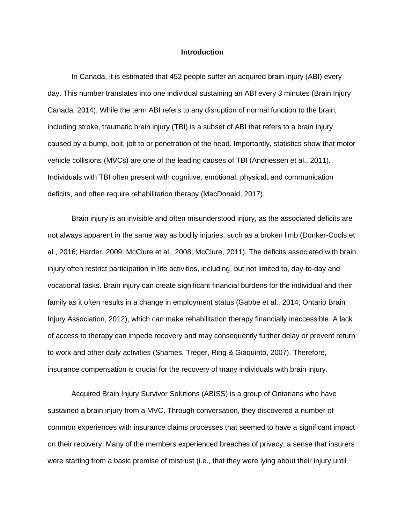#### **Introduction**

In Canada, it is estimated that 452 people suffer an acquired brain injury (ABI) every day. This number translates into one individual sustaining an ABI every 3 minutes (Brain Injury Canada, 2014). While the term ABI refers to any disruption of normal function to the brain, including stroke, traumatic brain injury (TBI) is a subset of ABI that refers to a brain injury caused by a bump, bolt, jolt to or penetration of the head. Importantly, statistics show that motor vehicle collisions (MVCs) are one of the leading causes of TBI (Andriessen et al., 2011). Individuals with TBI often present with cognitive, emotional, physical, and communication deficits, and often require rehabilitation therapy (MacDonald, 2017).

Brain injury is an invisible and often misunderstood injury, as the associated deficits are not always apparent in the same way as bodily injuries, such as a broken limb (Donker-Cools et al., 2016; Harder, 2009; McClure et al., 2008; McClure, 2011). The deficits associated with brain injury often restrict participation in life activities, including, but not limited to, day-to-day and vocational tasks. Brain injury can create significant financial burdens for the individual and their family as it often results in a change in employment status (Gabbe et al., 2014; Ontario Brain Injury Association, 2012), which can make rehabilitation therapy financially inaccessible. A lack of access to therapy can impede recovery and may consequently further delay or prevent return to work and other daily activities (Shames, Treger, Ring & Giaquinto, 2007). Therefore, insurance compensation is crucial for the recovery of many individuals with brain injury.

Acquired Brain Injury Survivor Solutions (ABISS) is a group of Ontarians who have sustained a brain injury from a MVC. Through conversation, they discovered a number of common experiences with insurance claims processes that seemed to have a significant impact on their recovery. Many of the members experienced breaches of privacy; a sense that insurers were starting from a basic premise of mistrust (i.e., that they were lying about their injury until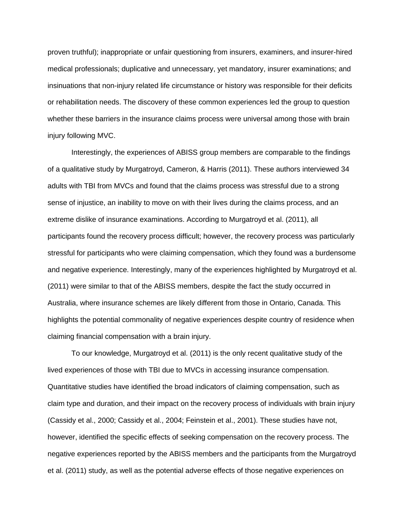proven truthful); inappropriate or unfair questioning from insurers, examiners, and insurer-hired medical professionals; duplicative and unnecessary, yet mandatory, insurer examinations; and insinuations that non-injury related life circumstance or history was responsible for their deficits or rehabilitation needs. The discovery of these common experiences led the group to question whether these barriers in the insurance claims process were universal among those with brain injury following MVC.

Interestingly, the experiences of ABISS group members are comparable to the findings of a qualitative study by Murgatroyd, Cameron, & Harris (2011). These authors interviewed 34 adults with TBI from MVCs and found that the claims process was stressful due to a strong sense of injustice, an inability to move on with their lives during the claims process, and an extreme dislike of insurance examinations. According to Murgatroyd et al. (2011), all participants found the recovery process difficult; however, the recovery process was particularly stressful for participants who were claiming compensation, which they found was a burdensome and negative experience. Interestingly, many of the experiences highlighted by Murgatroyd et al. (2011) were similar to that of the ABISS members, despite the fact the study occurred in Australia, where insurance schemes are likely different from those in Ontario, Canada. This highlights the potential commonality of negative experiences despite country of residence when claiming financial compensation with a brain injury.

To our knowledge, Murgatroyd et al. (2011) is the only recent qualitative study of the lived experiences of those with TBI due to MVCs in accessing insurance compensation. Quantitative studies have identified the broad indicators of claiming compensation, such as claim type and duration, and their impact on the recovery process of individuals with brain injury (Cassidy et al., 2000; Cassidy et al., 2004; Feinstein et al., 2001). These studies have not, however, identified the specific effects of seeking compensation on the recovery process. The negative experiences reported by the ABISS members and the participants from the Murgatroyd et al. (2011) study, as well as the potential adverse effects of those negative experiences on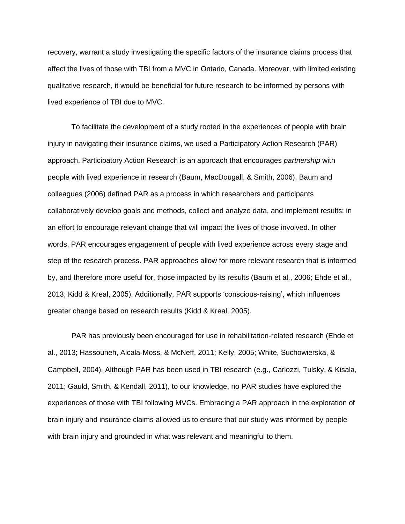recovery, warrant a study investigating the specific factors of the insurance claims process that affect the lives of those with TBI from a MVC in Ontario, Canada. Moreover, with limited existing qualitative research, it would be beneficial for future research to be informed by persons with lived experience of TBI due to MVC.

To facilitate the development of a study rooted in the experiences of people with brain injury in navigating their insurance claims, we used a Participatory Action Research (PAR) approach. Participatory Action Research is an approach that encourages *partnership* with people with lived experience in research (Baum, MacDougall, & Smith, 2006). Baum and colleagues (2006) defined PAR as a process in which researchers and participants collaboratively develop goals and methods, collect and analyze data, and implement results; in an effort to encourage relevant change that will impact the lives of those involved. In other words, PAR encourages engagement of people with lived experience across every stage and step of the research process. PAR approaches allow for more relevant research that is informed by, and therefore more useful for, those impacted by its results (Baum et al., 2006; Ehde et al., 2013; Kidd & Kreal, 2005). Additionally, PAR supports 'conscious-raising', which influences greater change based on research results (Kidd & Kreal, 2005).

PAR has previously been encouraged for use in rehabilitation-related research (Ehde et al., 2013; Hassouneh, Alcala‐Moss, & McNeff, 2011; Kelly, 2005; White, Suchowierska, & Campbell, 2004). Although PAR has been used in TBI research (e.g., Carlozzi, Tulsky, & Kisala, 2011; Gauld, Smith, & Kendall, 2011), to our knowledge, no PAR studies have explored the experiences of those with TBI following MVCs. Embracing a PAR approach in the exploration of brain injury and insurance claims allowed us to ensure that our study was informed by people with brain injury and grounded in what was relevant and meaningful to them.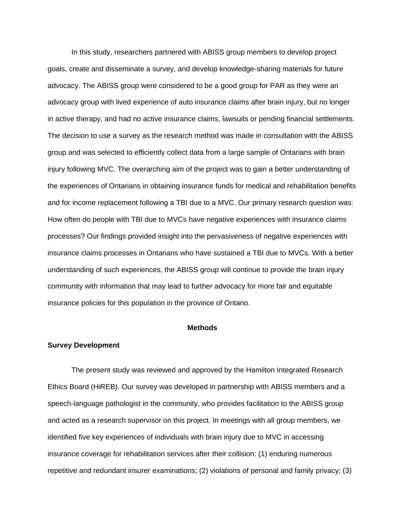In this study, researchers partnered with ABISS group members to develop project goals, create and disseminate a survey, and develop knowledge-sharing materials for future advocacy. The ABISS group were considered to be a good group for PAR as they were an advocacy group with lived experience of auto insurance claims after brain injury, but no longer in active therapy, and had no active insurance claims, lawsuits or pending financial settlements. The decision to use a survey as the research method was made in consultation with the ABISS group and was selected to efficiently collect data from a large sample of Ontarians with brain injury following MVC. The overarching aim of the project was to gain a better understanding of the experiences of Ontarians in obtaining insurance funds for medical and rehabilitation benefits and for income replacement following a TBI due to a MVC. Our primary research question was: How often do people with TBI due to MVCs have negative experiences with insurance claims processes? Our findings provided insight into the pervasiveness of negative experiences with insurance claims processes in Ontarians who have sustained a TBI due to MVCs. With a better understanding of such experiences, the ABISS group will continue to provide the brain injury community with information that may lead to further advocacy for more fair and equitable insurance policies for this population in the province of Ontario.

### **Methods**

#### **Survey Development**

The present study was reviewed and approved by the Hamilton Integrated Research Ethics Board (HiREB). Our survey was developed in partnership with ABISS members and a speech-language pathologist in the community, who provides facilitation to the ABISS group and acted as a research supervisor on this project. In meetings with all group members, we identified five key experiences of individuals with brain injury due to MVC in accessing insurance coverage for rehabilitation services after their collision: (1) enduring numerous repetitive and redundant insurer examinations; (2) violations of personal and family privacy; (3)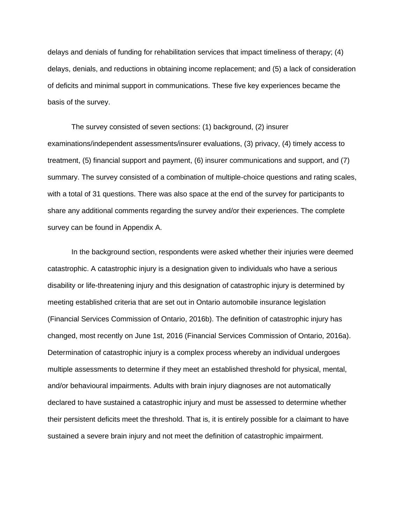delays and denials of funding for rehabilitation services that impact timeliness of therapy; (4) delays, denials, and reductions in obtaining income replacement; and (5) a lack of consideration of deficits and minimal support in communications. These five key experiences became the basis of the survey.

The survey consisted of seven sections: (1) background, (2) insurer examinations/independent assessments/insurer evaluations, (3) privacy, (4) timely access to treatment, (5) financial support and payment, (6) insurer communications and support, and (7) summary. The survey consisted of a combination of multiple-choice questions and rating scales, with a total of 31 questions. There was also space at the end of the survey for participants to share any additional comments regarding the survey and/or their experiences. The complete survey can be found in Appendix A.

In the background section, respondents were asked whether their injuries were deemed catastrophic. A catastrophic injury is a designation given to individuals who have a serious disability or life-threatening injury and this designation of catastrophic injury is determined by meeting established criteria that are set out in Ontario automobile insurance legislation (Financial Services Commission of Ontario, 2016b). The definition of catastrophic injury has changed, most recently on June 1st, 2016 (Financial Services Commission of Ontario, 2016a). Determination of catastrophic injury is a complex process whereby an individual undergoes multiple assessments to determine if they meet an established threshold for physical, mental, and/or behavioural impairments. Adults with brain injury diagnoses are not automatically declared to have sustained a catastrophic injury and must be assessed to determine whether their persistent deficits meet the threshold. That is, it is entirely possible for a claimant to have sustained a severe brain injury and not meet the definition of catastrophic impairment.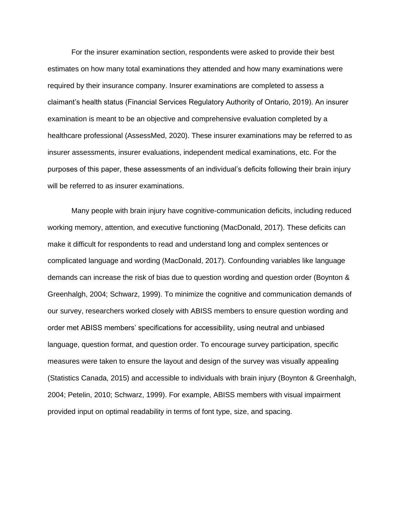For the insurer examination section, respondents were asked to provide their best estimates on how many total examinations they attended and how many examinations were required by their insurance company. Insurer examinations are completed to assess a claimant's health status (Financial Services Regulatory Authority of Ontario, 2019). An insurer examination is meant to be an objective and comprehensive evaluation completed by a healthcare professional (AssessMed, 2020). These insurer examinations may be referred to as insurer assessments, insurer evaluations, independent medical examinations, etc. For the purposes of this paper, these assessments of an individual's deficits following their brain injury will be referred to as insurer examinations.

Many people with brain injury have cognitive-communication deficits, including reduced working memory, attention, and executive functioning (MacDonald, 2017). These deficits can make it difficult for respondents to read and understand long and complex sentences or complicated language and wording (MacDonald, 2017). Confounding variables like language demands can increase the risk of bias due to question wording and question order (Boynton & Greenhalgh, 2004; Schwarz, 1999). To minimize the cognitive and communication demands of our survey, researchers worked closely with ABISS members to ensure question wording and order met ABISS members' specifications for accessibility, using neutral and unbiased language, question format, and question order. To encourage survey participation, specific measures were taken to ensure the layout and design of the survey was visually appealing (Statistics Canada, 2015) and accessible to individuals with brain injury (Boynton & Greenhalgh, 2004; Petelin, 2010; Schwarz, 1999). For example, ABISS members with visual impairment provided input on optimal readability in terms of font type, size, and spacing.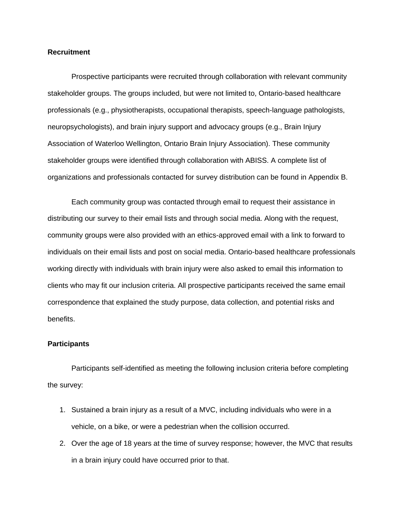#### **Recruitment**

Prospective participants were recruited through collaboration with relevant community stakeholder groups. The groups included, but were not limited to, Ontario-based healthcare professionals (e.g., physiotherapists, occupational therapists, speech-language pathologists, neuropsychologists), and brain injury support and advocacy groups (e.g., Brain Injury Association of Waterloo Wellington, Ontario Brain Injury Association). These community stakeholder groups were identified through collaboration with ABISS. A complete list of organizations and professionals contacted for survey distribution can be found in Appendix B.

Each community group was contacted through email to request their assistance in distributing our survey to their email lists and through social media. Along with the request, community groups were also provided with an ethics-approved email with a link to forward to individuals on their email lists and post on social media. Ontario-based healthcare professionals working directly with individuals with brain injury were also asked to email this information to clients who may fit our inclusion criteria. All prospective participants received the same email correspondence that explained the study purpose, data collection, and potential risks and benefits.

#### **Participants**

Participants self-identified as meeting the following inclusion criteria before completing the survey:

- 1. Sustained a brain injury as a result of a MVC, including individuals who were in a vehicle, on a bike, or were a pedestrian when the collision occurred.
- 2. Over the age of 18 years at the time of survey response; however, the MVC that results in a brain injury could have occurred prior to that.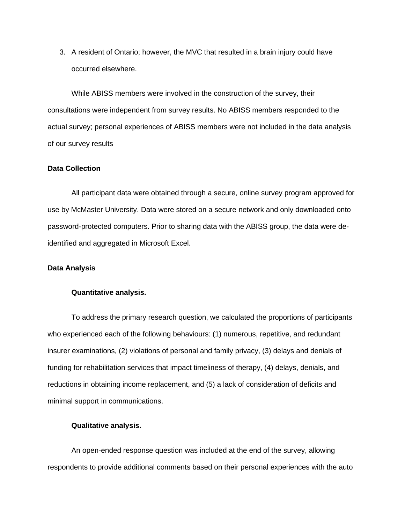3. A resident of Ontario; however, the MVC that resulted in a brain injury could have occurred elsewhere.

While ABISS members were involved in the construction of the survey, their consultations were independent from survey results. No ABISS members responded to the actual survey; personal experiences of ABISS members were not included in the data analysis of our survey results

#### **Data Collection**

All participant data were obtained through a secure, online survey program approved for use by McMaster University. Data were stored on a secure network and only downloaded onto password-protected computers. Prior to sharing data with the ABISS group, the data were deidentified and aggregated in Microsoft Excel.

#### **Data Analysis**

#### **Quantitative analysis.**

To address the primary research question, we calculated the proportions of participants who experienced each of the following behaviours: (1) numerous, repetitive, and redundant insurer examinations, (2) violations of personal and family privacy, (3) delays and denials of funding for rehabilitation services that impact timeliness of therapy, (4) delays, denials, and reductions in obtaining income replacement, and (5) a lack of consideration of deficits and minimal support in communications.

#### **Qualitative analysis.**

An open-ended response question was included at the end of the survey, allowing respondents to provide additional comments based on their personal experiences with the auto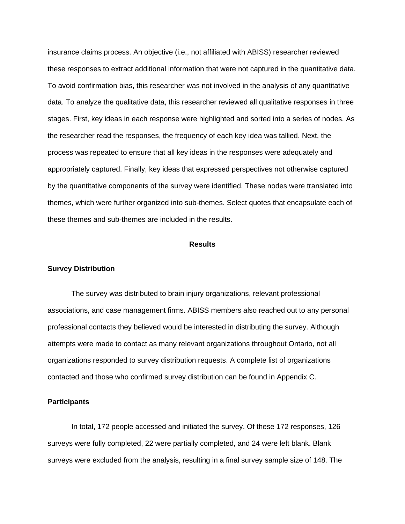insurance claims process. An objective (i.e., not affiliated with ABISS) researcher reviewed these responses to extract additional information that were not captured in the quantitative data. To avoid confirmation bias, this researcher was not involved in the analysis of any quantitative data. To analyze the qualitative data, this researcher reviewed all qualitative responses in three stages. First, key ideas in each response were highlighted and sorted into a series of nodes. As the researcher read the responses, the frequency of each key idea was tallied. Next, the process was repeated to ensure that all key ideas in the responses were adequately and appropriately captured. Finally, key ideas that expressed perspectives not otherwise captured by the quantitative components of the survey were identified. These nodes were translated into themes, which were further organized into sub-themes. Select quotes that encapsulate each of these themes and sub-themes are included in the results.

#### **Results**

#### **Survey Distribution**

The survey was distributed to brain injury organizations, relevant professional associations, and case management firms. ABISS members also reached out to any personal professional contacts they believed would be interested in distributing the survey. Although attempts were made to contact as many relevant organizations throughout Ontario, not all organizations responded to survey distribution requests. A complete list of organizations contacted and those who confirmed survey distribution can be found in Appendix C.

#### **Participants**

In total, 172 people accessed and initiated the survey. Of these 172 responses, 126 surveys were fully completed, 22 were partially completed, and 24 were left blank. Blank surveys were excluded from the analysis, resulting in a final survey sample size of 148. The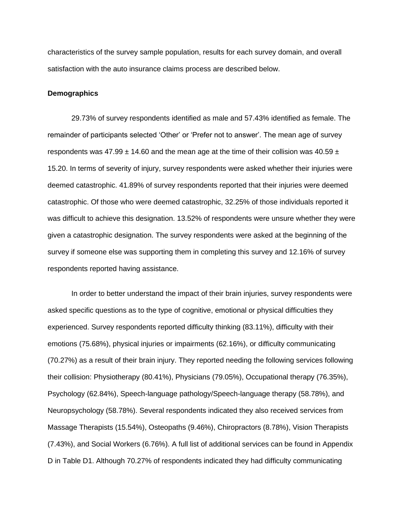characteristics of the survey sample population, results for each survey domain, and overall satisfaction with the auto insurance claims process are described below.

#### **Demographics**

29.73% of survey respondents identified as male and 57.43% identified as female. The remainder of participants selected 'Other' or 'Prefer not to answer'. The mean age of survey respondents was  $47.99 \pm 14.60$  and the mean age at the time of their collision was  $40.59 \pm 14.60$ 15.20. In terms of severity of injury, survey respondents were asked whether their injuries were deemed catastrophic. 41.89% of survey respondents reported that their injuries were deemed catastrophic. Of those who were deemed catastrophic, 32.25% of those individuals reported it was difficult to achieve this designation. 13.52% of respondents were unsure whether they were given a catastrophic designation. The survey respondents were asked at the beginning of the survey if someone else was supporting them in completing this survey and 12.16% of survey respondents reported having assistance.

In order to better understand the impact of their brain injuries, survey respondents were asked specific questions as to the type of cognitive, emotional or physical difficulties they experienced. Survey respondents reported difficulty thinking (83.11%), difficulty with their emotions (75.68%), physical injuries or impairments (62.16%), or difficulty communicating (70.27%) as a result of their brain injury. They reported needing the following services following their collision: Physiotherapy (80.41%), Physicians (79.05%), Occupational therapy (76.35%), Psychology (62.84%), Speech-language pathology/Speech-language therapy (58.78%), and Neuropsychology (58.78%). Several respondents indicated they also received services from Massage Therapists (15.54%), Osteopaths (9.46%), Chiropractors (8.78%), Vision Therapists (7.43%), and Social Workers (6.76%). A full list of additional services can be found in Appendix D in Table D1. Although 70.27% of respondents indicated they had difficulty communicating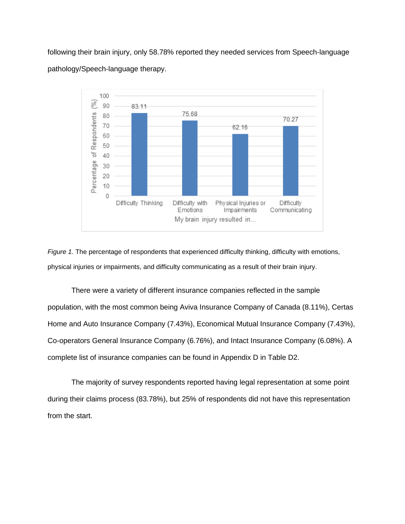following their brain injury, only 58.78% reported they needed services from Speech-language pathology/Speech-language therapy.



*Figure 1.* The percentage of respondents that experienced difficulty thinking, difficulty with emotions, physical injuries or impairments, and difficulty communicating as a result of their brain injury.

There were a variety of different insurance companies reflected in the sample population, with the most common being Aviva Insurance Company of Canada (8.11%), Certas Home and Auto Insurance Company (7.43%), Economical Mutual Insurance Company (7.43%), Co-operators General Insurance Company (6.76%), and Intact Insurance Company (6.08%). A complete list of insurance companies can be found in Appendix D in Table D2.

The majority of survey respondents reported having legal representation at some point during their claims process (83.78%), but 25% of respondents did not have this representation from the start.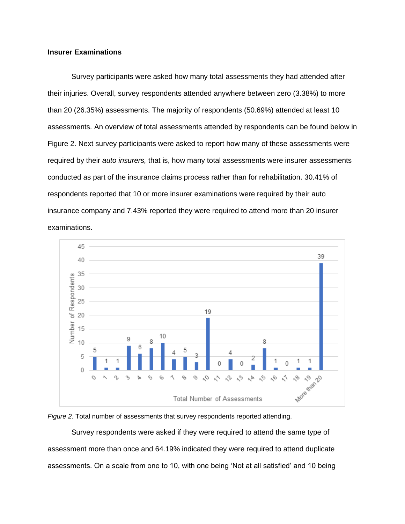### **Insurer Examinations**

Survey participants were asked how many total assessments they had attended after their injuries. Overall, survey respondents attended anywhere between zero (3.38%) to more than 20 (26.35%) assessments. The majority of respondents (50.69%) attended at least 10 assessments. An overview of total assessments attended by respondents can be found below in Figure 2. Next survey participants were asked to report how many of these assessments were required by their *auto insurers,* that is, how many total assessments were insurer assessments conducted as part of the insurance claims process rather than for rehabilitation. 30.41% of respondents reported that 10 or more insurer examinations were required by their auto insurance company and 7.43% reported they were required to attend more than 20 insurer examinations.





Survey respondents were asked if they were required to attend the same type of assessment more than once and 64.19% indicated they were required to attend duplicate assessments. On a scale from one to 10, with one being 'Not at all satisfied' and 10 being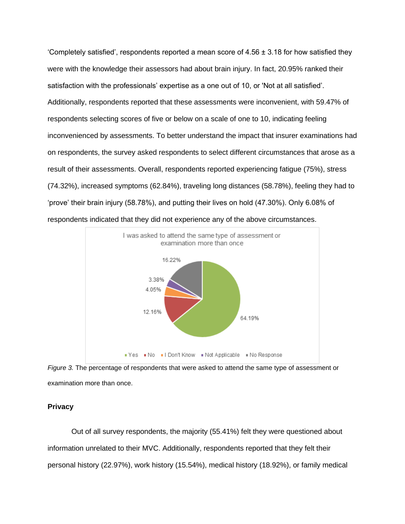'Completely satisfied', respondents reported a mean score of  $4.56 \pm 3.18$  for how satisfied they were with the knowledge their assessors had about brain injury. In fact, 20.95% ranked their satisfaction with the professionals' expertise as a one out of 10, or 'Not at all satisfied'. Additionally, respondents reported that these assessments were inconvenient, with 59.47% of respondents selecting scores of five or below on a scale of one to 10, indicating feeling inconvenienced by assessments. To better understand the impact that insurer examinations had on respondents, the survey asked respondents to select different circumstances that arose as a result of their assessments. Overall, respondents reported experiencing fatigue (75%), stress (74.32%), increased symptoms (62.84%), traveling long distances (58.78%), feeling they had to 'prove' their brain injury (58.78%), and putting their lives on hold (47.30%). Only 6.08% of respondents indicated that they did not experience any of the above circumstances.



*Figure 3.* The percentage of respondents that were asked to attend the same type of assessment or examination more than once.

#### **Privacy**

Out of all survey respondents, the majority (55.41%) felt they were questioned about information unrelated to their MVC. Additionally, respondents reported that they felt their personal history (22.97%), work history (15.54%), medical history (18.92%), or family medical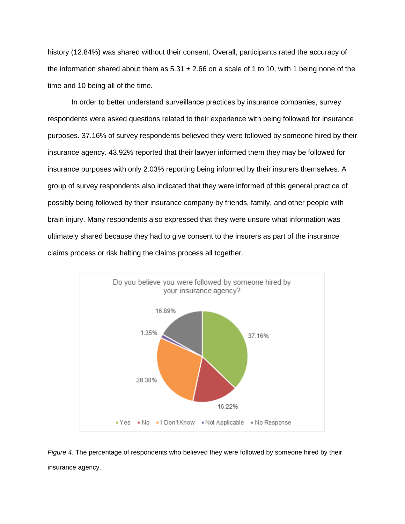history (12.84%) was shared without their consent. Overall, participants rated the accuracy of the information shared about them as  $5.31 \pm 2.66$  on a scale of 1 to 10, with 1 being none of the time and 10 being all of the time.

In order to better understand surveillance practices by insurance companies, survey respondents were asked questions related to their experience with being followed for insurance purposes. 37.16% of survey respondents believed they were followed by someone hired by their insurance agency. 43.92% reported that their lawyer informed them they may be followed for insurance purposes with only 2.03% reporting being informed by their insurers themselves. A group of survey respondents also indicated that they were informed of this general practice of possibly being followed by their insurance company by friends, family, and other people with brain injury. Many respondents also expressed that they were unsure what information was ultimately shared because they had to give consent to the insurers as part of the insurance claims process or risk halting the claims process all together.



*Figure 4.* The percentage of respondents who believed they were followed by someone hired by their insurance agency.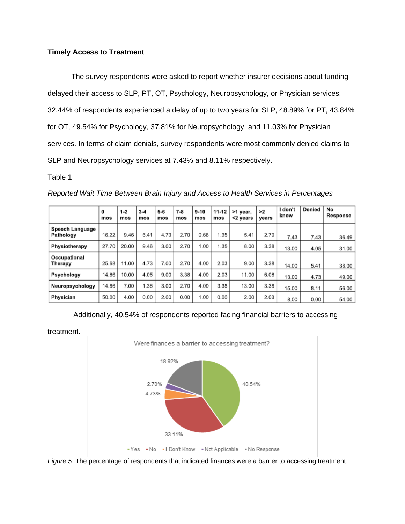### **Timely Access to Treatment**

The survey respondents were asked to report whether insurer decisions about funding delayed their access to SLP, PT, OT, Psychology, Neuropsychology, or Physician services. 32.44% of respondents experienced a delay of up to two years for SLP, 48.89% for PT, 43.84% for OT, 49.54% for Psychology, 37.81% for Neuropsychology, and 11.03% for Physician services. In terms of claim denials, survey respondents were most commonly denied claims to SLP and Neuropsychology services at 7.43% and 8.11% respectively.

Table 1

|                              | 0<br>mos | $1 - 2$<br>mos | $3 - 4$<br>mos | $5 - 6$<br>mos | $7 - 8$<br>mos | $9 - 10$<br>mos | $11 - 12$<br>mos | >1 year,<br><2 years | >2<br>years | don't<br>know | Denied | No<br>Response |
|------------------------------|----------|----------------|----------------|----------------|----------------|-----------------|------------------|----------------------|-------------|---------------|--------|----------------|
| Speech Language<br>Pathology | 16.22    | 9.46           | 5.41           | 4.73           | 2.70           | 0.68            | 1.35             | 5.41                 | 2.70        | 7.43          | 7.43   | 36.49          |
| Physiotherapy                | 27.70    | 20.00          | 9.46           | 3.00           | 2.70           | 1.00            | 1.35             | 8.00                 | 3.38        | 13.00         | 4.05   | 31.00          |
| Occupational<br>Therapy      | 25.68    | 11.00          | 4.73           | 7.00           | 2.70           | 4.00            | 2.03             | 9.00                 | 3.38        | 14.00         | 5.41   | 38.00          |
| Psychology                   | 14.86    | 10.00          | 4.05           | 9.00           | 3.38           | 4.00            | 2.03             | 11.00                | 6.08        | 13.00         | 4.73   | 49.00          |
| Neuropsychology              | 14.86    | 7.00           | 1.35           | 3.00           | 2.70           | 4.00            | 3.38             | 13.00                | 3.38        | 15.00         | 8.11   | 56.00          |
| Physician                    | 50.00    | 4.00           | 0.00           | 2.00           | 0.00           | 1.00            | 0.00             | 2.00                 | 2.03        | 8.00          | 0.00   | 54.00          |

*Reported Wait Time Between Brain Injury and Access to Health Services in Percentages*

Additionally, 40.54% of respondents reported facing financial barriers to accessing



treatment.

*Figure 5.* The percentage of respondents that indicated finances were a barrier to accessing treatment.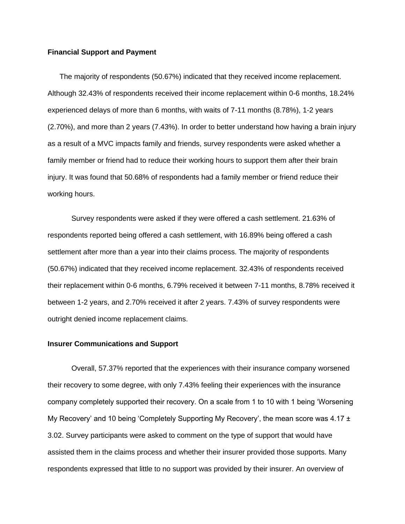#### **Financial Support and Payment**

The majority of respondents (50.67%) indicated that they received income replacement. Although 32.43% of respondents received their income replacement within 0-6 months, 18.24% experienced delays of more than 6 months, with waits of 7-11 months (8.78%), 1-2 years (2.70%), and more than 2 years (7.43%). In order to better understand how having a brain injury as a result of a MVC impacts family and friends, survey respondents were asked whether a family member or friend had to reduce their working hours to support them after their brain injury. It was found that 50.68% of respondents had a family member or friend reduce their working hours.

Survey respondents were asked if they were offered a cash settlement. 21.63% of respondents reported being offered a cash settlement, with 16.89% being offered a cash settlement after more than a year into their claims process. The majority of respondents (50.67%) indicated that they received income replacement. 32.43% of respondents received their replacement within 0-6 months, 6.79% received it between 7-11 months, 8.78% received it between 1-2 years, and 2.70% received it after 2 years. 7.43% of survey respondents were outright denied income replacement claims.

#### **Insurer Communications and Support**

Overall, 57.37% reported that the experiences with their insurance company worsened their recovery to some degree, with only 7.43% feeling their experiences with the insurance company completely supported their recovery. On a scale from 1 to 10 with 1 being 'Worsening My Recovery' and 10 being 'Completely Supporting My Recovery', the mean score was 4.17 ± 3.02. Survey participants were asked to comment on the type of support that would have assisted them in the claims process and whether their insurer provided those supports. Many respondents expressed that little to no support was provided by their insurer. An overview of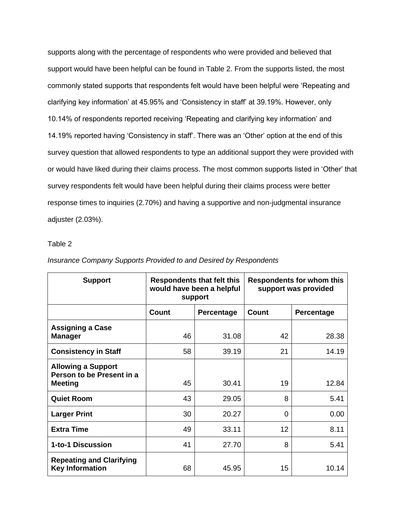supports along with the percentage of respondents who were provided and believed that support would have been helpful can be found in Table 2. From the supports listed, the most commonly stated supports that respondents felt would have been helpful were 'Repeating and clarifying key information' at 45.95% and 'Consistency in staff' at 39.19%. However, only 10.14% of respondents reported receiving 'Repeating and clarifying key information' and 14.19% reported having 'Consistency in staff'. There was an 'Other' option at the end of this survey question that allowed respondents to type an additional support they were provided with or would have liked during their claims process. The most common supports listed in 'Other' that survey respondents felt would have been helpful during their claims process were better response times to inquiries (2.70%) and having a supportive and non-judgmental insurance adjuster (2.03%).

### Table 2

| <b>Support</b>                                            |              | <b>Respondents that felt this</b><br>would have been a helpful<br>support | <b>Respondents for whom this</b><br>support was provided |            |  |
|-----------------------------------------------------------|--------------|---------------------------------------------------------------------------|----------------------------------------------------------|------------|--|
|                                                           | <b>Count</b> | Percentage                                                                | Count                                                    | Percentage |  |
| <b>Assigning a Case</b><br><b>Manager</b>                 | 46           | 31.08                                                                     | 42                                                       | 28.38      |  |
| <b>Consistency in Staff</b>                               | 58           | 39.19                                                                     | 21                                                       | 14.19      |  |
| <b>Allowing a Support</b><br>Person to be Present in a    |              |                                                                           |                                                          |            |  |
| <b>Meeting</b>                                            | 45           | 30.41                                                                     | 19                                                       | 12.84      |  |
| <b>Quiet Room</b>                                         | 43           | 29.05                                                                     | 8                                                        | 5.41       |  |
| <b>Larger Print</b>                                       | 30           | 20.27                                                                     | $\Omega$                                                 | 0.00       |  |
| <b>Extra Time</b>                                         | 49           | 33.11                                                                     | 12                                                       | 8.11       |  |
| 1-to-1 Discussion                                         | 41           | 27.70                                                                     | 8                                                        | 5.41       |  |
| <b>Repeating and Clarifying</b><br><b>Key Information</b> | 68           | 45.95                                                                     | 15                                                       | 10.14      |  |

#### *Insurance Company Supports Provided to and Desired by Respondents*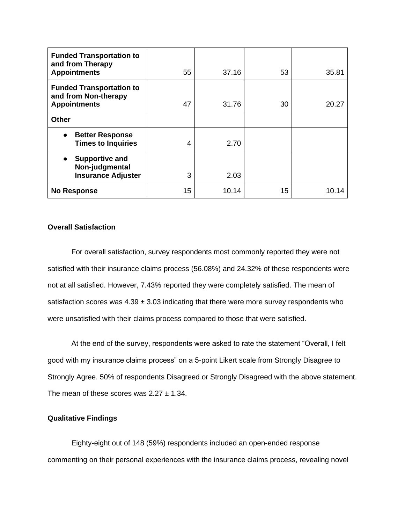| <b>Funded Transportation to</b><br>and from Therapy<br><b>Appointments</b>        | 55 | 37.16 | 53 | 35.81 |
|-----------------------------------------------------------------------------------|----|-------|----|-------|
| <b>Funded Transportation to</b><br>and from Non-therapy<br><b>Appointments</b>    | 47 | 31.76 | 30 | 20.27 |
| <b>Other</b>                                                                      |    |       |    |       |
| <b>Better Response</b><br><b>Times to Inquiries</b>                               | 4  | 2.70  |    |       |
| <b>Supportive and</b><br>$\bullet$<br>Non-judgmental<br><b>Insurance Adjuster</b> | 3  | 2.03  |    |       |
| <b>No Response</b>                                                                | 15 | 10.14 | 15 | 10.14 |

### **Overall Satisfaction**

For overall satisfaction, survey respondents most commonly reported they were not satisfied with their insurance claims process (56.08%) and 24.32% of these respondents were not at all satisfied. However, 7.43% reported they were completely satisfied. The mean of satisfaction scores was  $4.39 \pm 3.03$  indicating that there were more survey respondents who were unsatisfied with their claims process compared to those that were satisfied.

At the end of the survey, respondents were asked to rate the statement "Overall, I felt good with my insurance claims process" on a 5-point Likert scale from Strongly Disagree to Strongly Agree. 50% of respondents Disagreed or Strongly Disagreed with the above statement. The mean of these scores was  $2.27 \pm 1.34$ .

### **Qualitative Findings**

Eighty-eight out of 148 (59%) respondents included an open-ended response commenting on their personal experiences with the insurance claims process, revealing novel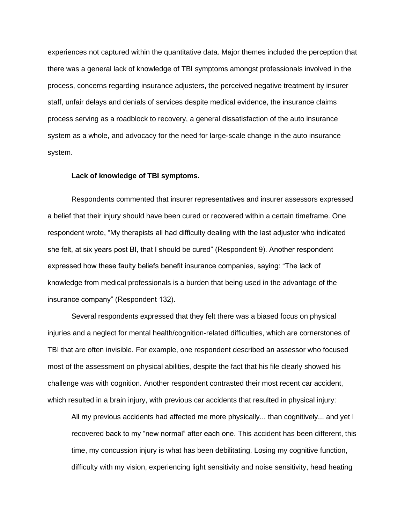experiences not captured within the quantitative data. Major themes included the perception that there was a general lack of knowledge of TBI symptoms amongst professionals involved in the process, concerns regarding insurance adjusters, the perceived negative treatment by insurer staff, unfair delays and denials of services despite medical evidence, the insurance claims process serving as a roadblock to recovery, a general dissatisfaction of the auto insurance system as a whole, and advocacy for the need for large-scale change in the auto insurance system.

#### **Lack of knowledge of TBI symptoms.**

Respondents commented that insurer representatives and insurer assessors expressed a belief that their injury should have been cured or recovered within a certain timeframe. One respondent wrote, "My therapists all had difficulty dealing with the last adjuster who indicated she felt, at six years post BI, that I should be cured" (Respondent 9). Another respondent expressed how these faulty beliefs benefit insurance companies, saying: "The lack of knowledge from medical professionals is a burden that being used in the advantage of the insurance company" (Respondent 132).

Several respondents expressed that they felt there was a biased focus on physical injuries and a neglect for mental health/cognition-related difficulties, which are cornerstones of TBI that are often invisible. For example, one respondent described an assessor who focused most of the assessment on physical abilities, despite the fact that his file clearly showed his challenge was with cognition. Another respondent contrasted their most recent car accident, which resulted in a brain injury, with previous car accidents that resulted in physical injury:

All my previous accidents had affected me more physically... than cognitively... and yet I recovered back to my "new normal" after each one. This accident has been different, this time, my concussion injury is what has been debilitating. Losing my cognitive function, difficulty with my vision, experiencing light sensitivity and noise sensitivity, head heating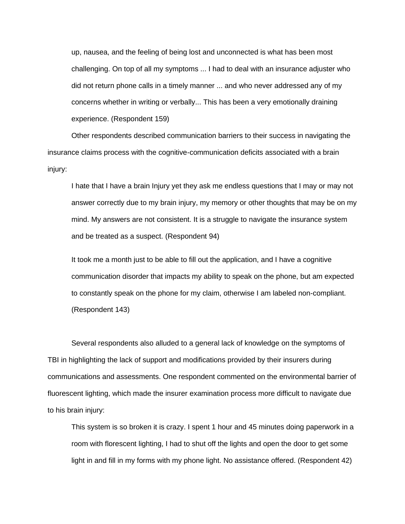up, nausea, and the feeling of being lost and unconnected is what has been most challenging. On top of all my symptoms ... I had to deal with an insurance adjuster who did not return phone calls in a timely manner ... and who never addressed any of my concerns whether in writing or verbally... This has been a very emotionally draining experience. (Respondent 159)

Other respondents described communication barriers to their success in navigating the insurance claims process with the cognitive-communication deficits associated with a brain injury:

I hate that I have a brain Injury yet they ask me endless questions that I may or may not answer correctly due to my brain injury, my memory or other thoughts that may be on my mind. My answers are not consistent. It is a struggle to navigate the insurance system and be treated as a suspect. (Respondent 94)

It took me a month just to be able to fill out the application, and I have a cognitive communication disorder that impacts my ability to speak on the phone, but am expected to constantly speak on the phone for my claim, otherwise I am labeled non-compliant. (Respondent 143)

Several respondents also alluded to a general lack of knowledge on the symptoms of TBI in highlighting the lack of support and modifications provided by their insurers during communications and assessments. One respondent commented on the environmental barrier of fluorescent lighting, which made the insurer examination process more difficult to navigate due to his brain injury:

This system is so broken it is crazy. I spent 1 hour and 45 minutes doing paperwork in a room with florescent lighting, I had to shut off the lights and open the door to get some light in and fill in my forms with my phone light. No assistance offered. (Respondent 42)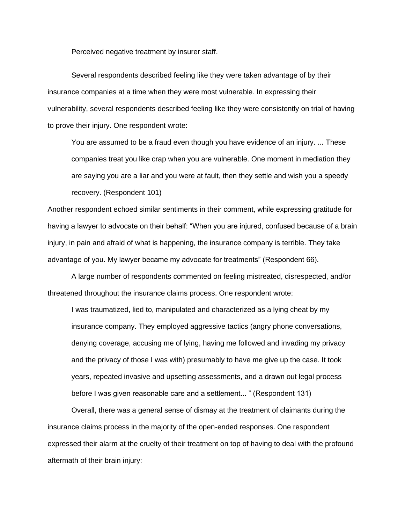Perceived negative treatment by insurer staff.

Several respondents described feeling like they were taken advantage of by their insurance companies at a time when they were most vulnerable. In expressing their vulnerability, several respondents described feeling like they were consistently on trial of having to prove their injury. One respondent wrote:

You are assumed to be a fraud even though you have evidence of an injury. ... These companies treat you like crap when you are vulnerable. One moment in mediation they are saying you are a liar and you were at fault, then they settle and wish you a speedy recovery. (Respondent 101)

Another respondent echoed similar sentiments in their comment, while expressing gratitude for having a lawyer to advocate on their behalf: "When you are injured, confused because of a brain injury, in pain and afraid of what is happening, the insurance company is terrible. They take advantage of you. My lawyer became my advocate for treatments" (Respondent 66).

A large number of respondents commented on feeling mistreated, disrespected, and/or threatened throughout the insurance claims process. One respondent wrote:

I was traumatized, lied to, manipulated and characterized as a lying cheat by my insurance company. They employed aggressive tactics (angry phone conversations, denying coverage, accusing me of lying, having me followed and invading my privacy and the privacy of those I was with) presumably to have me give up the case. It took years, repeated invasive and upsetting assessments, and a drawn out legal process before I was given reasonable care and a settlement... " (Respondent 131)

Overall, there was a general sense of dismay at the treatment of claimants during the insurance claims process in the majority of the open-ended responses. One respondent expressed their alarm at the cruelty of their treatment on top of having to deal with the profound aftermath of their brain injury: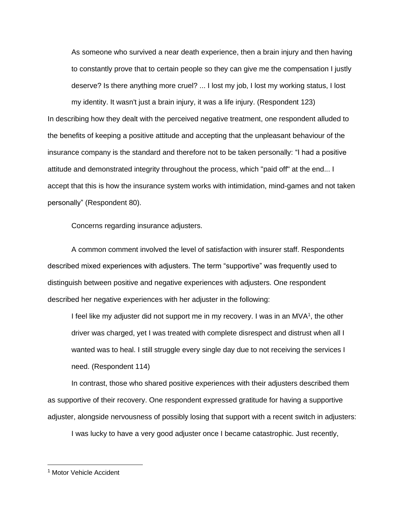As someone who survived a near death experience, then a brain injury and then having to constantly prove that to certain people so they can give me the compensation I justly deserve? Is there anything more cruel? ... I lost my job, I lost my working status, I lost my identity. It wasn't just a brain injury, it was a life injury. (Respondent 123) In describing how they dealt with the perceived negative treatment, one respondent alluded to the benefits of keeping a positive attitude and accepting that the unpleasant behaviour of the insurance company is the standard and therefore not to be taken personally: "I had a positive attitude and demonstrated integrity throughout the process, which "paid off" at the end... I accept that this is how the insurance system works with intimidation, mind-games and not taken personally" (Respondent 80).

Concerns regarding insurance adjusters.

A common comment involved the level of satisfaction with insurer staff. Respondents described mixed experiences with adjusters. The term "supportive" was frequently used to distinguish between positive and negative experiences with adjusters. One respondent described her negative experiences with her adjuster in the following:

I feel like my adjuster did not support me in my recovery. I was in an  $MVA<sup>1</sup>$ , the other driver was charged, yet I was treated with complete disrespect and distrust when all I wanted was to heal. I still struggle every single day due to not receiving the services I need. (Respondent 114)

In contrast, those who shared positive experiences with their adjusters described them as supportive of their recovery. One respondent expressed gratitude for having a supportive adjuster, alongside nervousness of possibly losing that support with a recent switch in adjusters:

I was lucky to have a very good adjuster once I became catastrophic. Just recently,

<sup>&</sup>lt;sup>1</sup> Motor Vehicle Accident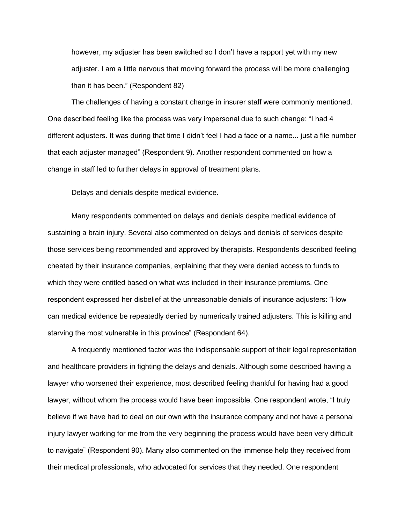however, my adjuster has been switched so I don't have a rapport yet with my new adjuster. I am a little nervous that moving forward the process will be more challenging than it has been." (Respondent 82)

The challenges of having a constant change in insurer staff were commonly mentioned. One described feeling like the process was very impersonal due to such change: "I had 4 different adjusters. It was during that time I didn't feel I had a face or a name... just a file number that each adjuster managed" (Respondent 9). Another respondent commented on how a change in staff led to further delays in approval of treatment plans.

Delays and denials despite medical evidence.

Many respondents commented on delays and denials despite medical evidence of sustaining a brain injury. Several also commented on delays and denials of services despite those services being recommended and approved by therapists. Respondents described feeling cheated by their insurance companies, explaining that they were denied access to funds to which they were entitled based on what was included in their insurance premiums. One respondent expressed her disbelief at the unreasonable denials of insurance adjusters: "How can medical evidence be repeatedly denied by numerically trained adjusters. This is killing and starving the most vulnerable in this province" (Respondent 64).

A frequently mentioned factor was the indispensable support of their legal representation and healthcare providers in fighting the delays and denials. Although some described having a lawyer who worsened their experience, most described feeling thankful for having had a good lawyer, without whom the process would have been impossible. One respondent wrote, "I truly believe if we have had to deal on our own with the insurance company and not have a personal injury lawyer working for me from the very beginning the process would have been very difficult to navigate" (Respondent 90). Many also commented on the immense help they received from their medical professionals, who advocated for services that they needed. One respondent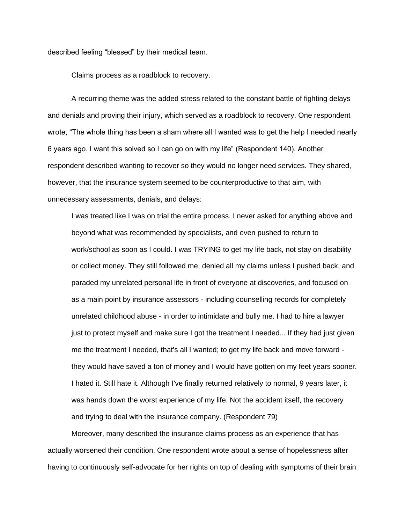described feeling "blessed" by their medical team.

Claims process as a roadblock to recovery.

A recurring theme was the added stress related to the constant battle of fighting delays and denials and proving their injury, which served as a roadblock to recovery. One respondent wrote, "The whole thing has been a sham where all I wanted was to get the help I needed nearly 6 years ago. I want this solved so I can go on with my life" (Respondent 140). Another respondent described wanting to recover so they would no longer need services. They shared, however, that the insurance system seemed to be counterproductive to that aim, with unnecessary assessments, denials, and delays:

I was treated like I was on trial the entire process. I never asked for anything above and beyond what was recommended by specialists, and even pushed to return to work/school as soon as I could. I was TRYING to get my life back, not stay on disability or collect money. They still followed me, denied all my claims unless I pushed back, and paraded my unrelated personal life in front of everyone at discoveries, and focused on as a main point by insurance assessors - including counselling records for completely unrelated childhood abuse - in order to intimidate and bully me. I had to hire a lawyer just to protect myself and make sure I got the treatment I needed... If they had just given me the treatment I needed, that's all I wanted; to get my life back and move forward they would have saved a ton of money and I would have gotten on my feet years sooner. I hated it. Still hate it. Although I've finally returned relatively to normal, 9 years later, it was hands down the worst experience of my life. Not the accident itself, the recovery and trying to deal with the insurance company. (Respondent 79)

Moreover, many described the insurance claims process as an experience that has actually worsened their condition. One respondent wrote about a sense of hopelessness after having to continuously self-advocate for her rights on top of dealing with symptoms of their brain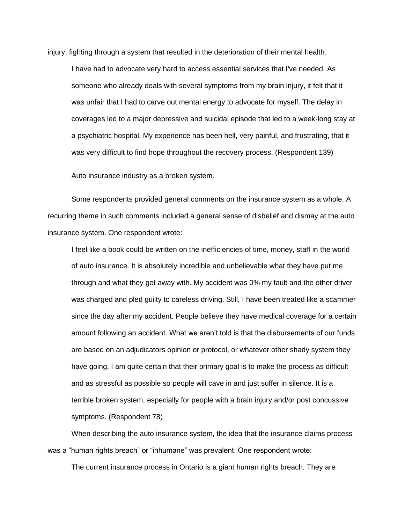injury, fighting through a system that resulted in the deterioration of their mental health:

I have had to advocate very hard to access essential services that I've needed. As someone who already deals with several symptoms from my brain injury, it felt that it was unfair that I had to carve out mental energy to advocate for myself. The delay in coverages led to a major depressive and suicidal episode that led to a week-long stay at a psychiatric hospital. My experience has been hell, very painful, and frustrating, that it was very difficult to find hope throughout the recovery process. (Respondent 139)

Auto insurance industry as a broken system.

Some respondents provided general comments on the insurance system as a whole. A recurring theme in such comments included a general sense of disbelief and dismay at the auto insurance system. One respondent wrote:

I feel like a book could be written on the inefficiencies of time, money, staff in the world of auto insurance. It is absolutely incredible and unbelievable what they have put me through and what they get away with. My accident was 0% my fault and the other driver was charged and pled guilty to careless driving. Still, I have been treated like a scammer since the day after my accident. People believe they have medical coverage for a certain amount following an accident. What we aren't told is that the disbursements of our funds are based on an adjudicators opinion or protocol, or whatever other shady system they have going. I am quite certain that their primary goal is to make the process as difficult and as stressful as possible so people will cave in and just suffer in silence. It is a terrible broken system, especially for people with a brain injury and/or post concussive symptoms. (Respondent 78)

When describing the auto insurance system, the idea that the insurance claims process was a "human rights breach" or "inhumane" was prevalent. One respondent wrote:

The current insurance process in Ontario is a giant human rights breach. They are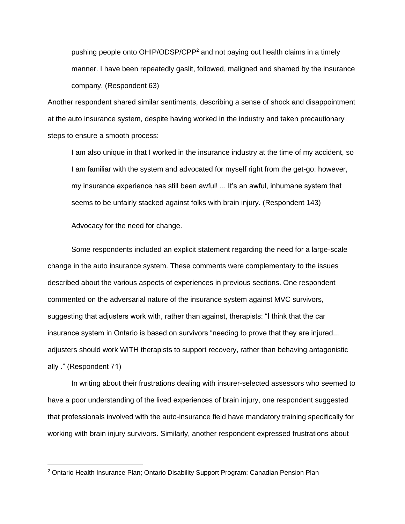pushing people onto OHIP/ODSP/CPP<sup>2</sup> and not paying out health claims in a timely manner. I have been repeatedly gaslit, followed, maligned and shamed by the insurance company. (Respondent 63)

Another respondent shared similar sentiments, describing a sense of shock and disappointment at the auto insurance system, despite having worked in the industry and taken precautionary steps to ensure a smooth process:

I am also unique in that I worked in the insurance industry at the time of my accident, so I am familiar with the system and advocated for myself right from the get-go: however, my insurance experience has still been awful! ... It's an awful, inhumane system that seems to be unfairly stacked against folks with brain injury. (Respondent 143)

Advocacy for the need for change.

Some respondents included an explicit statement regarding the need for a large-scale change in the auto insurance system. These comments were complementary to the issues described about the various aspects of experiences in previous sections. One respondent commented on the adversarial nature of the insurance system against MVC survivors, suggesting that adjusters work with, rather than against, therapists: "I think that the car insurance system in Ontario is based on survivors "needing to prove that they are injured... adjusters should work WITH therapists to support recovery, rather than behaving antagonistic ally ." (Respondent 71)

In writing about their frustrations dealing with insurer-selected assessors who seemed to have a poor understanding of the lived experiences of brain injury, one respondent suggested that professionals involved with the auto-insurance field have mandatory training specifically for working with brain injury survivors. Similarly, another respondent expressed frustrations about

<sup>&</sup>lt;sup>2</sup> Ontario Health Insurance Plan; Ontario Disability Support Program; Canadian Pension Plan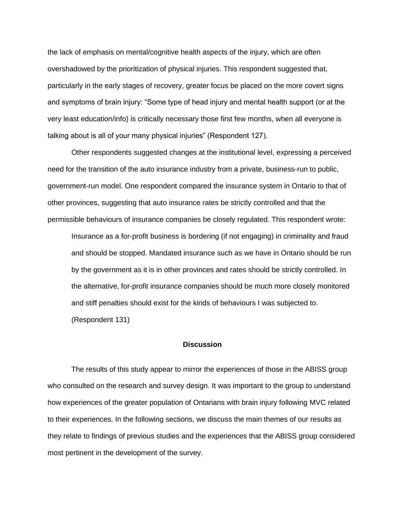the lack of emphasis on mental/cognitive health aspects of the injury, which are often overshadowed by the prioritization of physical injuries. This respondent suggested that, particularly in the early stages of recovery, greater focus be placed on the more covert signs and symptoms of brain injury: "Some type of head injury and mental health support (or at the very least education/info) is critically necessary those first few months, when all everyone is talking about is all of your many physical injuries" (Respondent 127).

Other respondents suggested changes at the institutional level, expressing a perceived need for the transition of the auto insurance industry from a private, business-run to public, government-run model. One respondent compared the insurance system in Ontario to that of other provinces, suggesting that auto insurance rates be strictly controlled and that the permissible behaviours of insurance companies be closely regulated. This respondent wrote:

Insurance as a for-profit business is bordering (if not engaging) in criminality and fraud and should be stopped. Mandated insurance such as we have in Ontario should be run by the government as it is in other provinces and rates should be strictly controlled. In the alternative, for-profit insurance companies should be much more closely monitored and stiff penalties should exist for the kinds of behaviours I was subjected to. (Respondent 131)

#### **Discussion**

The results of this study appear to mirror the experiences of those in the ABISS group who consulted on the research and survey design. It was important to the group to understand how experiences of the greater population of Ontarians with brain injury following MVC related to their experiences. In the following sections, we discuss the main themes of our results as they relate to findings of previous studies and the experiences that the ABISS group considered most pertinent in the development of the survey.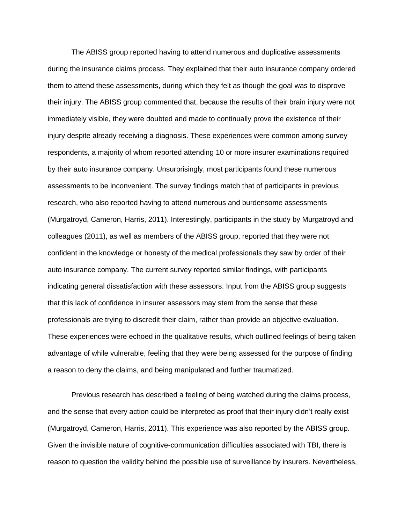The ABISS group reported having to attend numerous and duplicative assessments during the insurance claims process. They explained that their auto insurance company ordered them to attend these assessments, during which they felt as though the goal was to disprove their injury. The ABISS group commented that, because the results of their brain injury were not immediately visible, they were doubted and made to continually prove the existence of their injury despite already receiving a diagnosis. These experiences were common among survey respondents, a majority of whom reported attending 10 or more insurer examinations required by their auto insurance company. Unsurprisingly, most participants found these numerous assessments to be inconvenient. The survey findings match that of participants in previous research, who also reported having to attend numerous and burdensome assessments (Murgatroyd, Cameron, Harris, 2011). Interestingly, participants in the study by Murgatroyd and colleagues (2011), as well as members of the ABISS group, reported that they were not confident in the knowledge or honesty of the medical professionals they saw by order of their auto insurance company. The current survey reported similar findings, with participants indicating general dissatisfaction with these assessors. Input from the ABISS group suggests that this lack of confidence in insurer assessors may stem from the sense that these professionals are trying to discredit their claim, rather than provide an objective evaluation. These experiences were echoed in the qualitative results, which outlined feelings of being taken advantage of while vulnerable, feeling that they were being assessed for the purpose of finding a reason to deny the claims, and being manipulated and further traumatized.

Previous research has described a feeling of being watched during the claims process, and the sense that every action could be interpreted as proof that their injury didn't really exist (Murgatroyd, Cameron, Harris, 2011). This experience was also reported by the ABISS group. Given the invisible nature of cognitive-communication difficulties associated with TBI, there is reason to question the validity behind the possible use of surveillance by insurers. Nevertheless,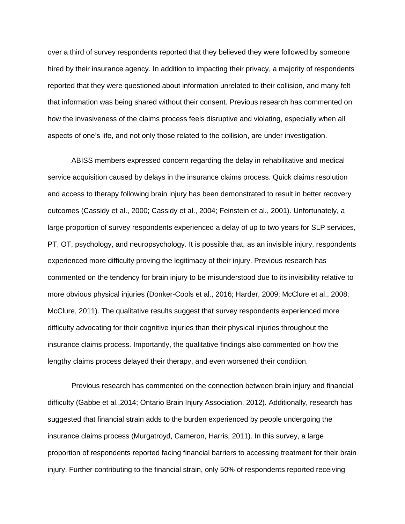over a third of survey respondents reported that they believed they were followed by someone hired by their insurance agency. In addition to impacting their privacy, a majority of respondents reported that they were questioned about information unrelated to their collision, and many felt that information was being shared without their consent. Previous research has commented on how the invasiveness of the claims process feels disruptive and violating, especially when all aspects of one's life, and not only those related to the collision, are under investigation.

ABISS members expressed concern regarding the delay in rehabilitative and medical service acquisition caused by delays in the insurance claims process. Quick claims resolution and access to therapy following brain injury has been demonstrated to result in better recovery outcomes (Cassidy et al., 2000; Cassidy et al., 2004; Feinstein et al., 2001). Unfortunately, a large proportion of survey respondents experienced a delay of up to two years for SLP services, PT, OT, psychology, and neuropsychology. It is possible that, as an invisible injury, respondents experienced more difficulty proving the legitimacy of their injury. Previous research has commented on the tendency for brain injury to be misunderstood due to its invisibility relative to more obvious physical injuries (Donker-Cools et al., 2016; Harder, 2009; McClure et al., 2008; McClure, 2011). The qualitative results suggest that survey respondents experienced more difficulty advocating for their cognitive injuries than their physical injuries throughout the insurance claims process. Importantly, the qualitative findings also commented on how the lengthy claims process delayed their therapy, and even worsened their condition.

Previous research has commented on the connection between brain injury and financial difficulty (Gabbe et al.,2014; Ontario Brain Injury Association, 2012). Additionally, research has suggested that financial strain adds to the burden experienced by people undergoing the insurance claims process (Murgatroyd, Cameron, Harris, 2011). In this survey, a large proportion of respondents reported facing financial barriers to accessing treatment for their brain injury. Further contributing to the financial strain, only 50% of respondents reported receiving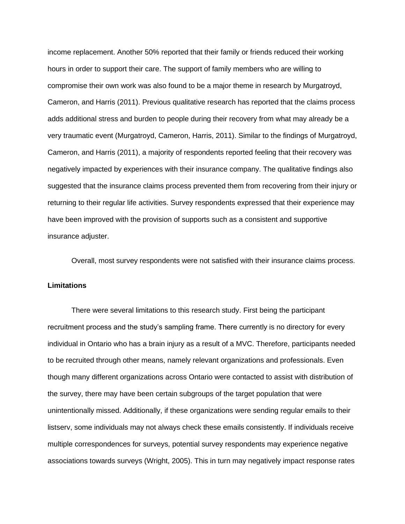income replacement. Another 50% reported that their family or friends reduced their working hours in order to support their care. The support of family members who are willing to compromise their own work was also found to be a major theme in research by Murgatroyd, Cameron, and Harris (2011). Previous qualitative research has reported that the claims process adds additional stress and burden to people during their recovery from what may already be a very traumatic event (Murgatroyd, Cameron, Harris, 2011). Similar to the findings of Murgatroyd, Cameron, and Harris (2011), a majority of respondents reported feeling that their recovery was negatively impacted by experiences with their insurance company. The qualitative findings also suggested that the insurance claims process prevented them from recovering from their injury or returning to their regular life activities. Survey respondents expressed that their experience may have been improved with the provision of supports such as a consistent and supportive insurance adjuster.

Overall, most survey respondents were not satisfied with their insurance claims process.

#### **Limitations**

There were several limitations to this research study. First being the participant recruitment process and the study's sampling frame. There currently is no directory for every individual in Ontario who has a brain injury as a result of a MVC. Therefore, participants needed to be recruited through other means, namely relevant organizations and professionals. Even though many different organizations across Ontario were contacted to assist with distribution of the survey, there may have been certain subgroups of the target population that were unintentionally missed. Additionally, if these organizations were sending regular emails to their listserv, some individuals may not always check these emails consistently. If individuals receive multiple correspondences for surveys, potential survey respondents may experience negative associations towards surveys (Wright, 2005). This in turn may negatively impact response rates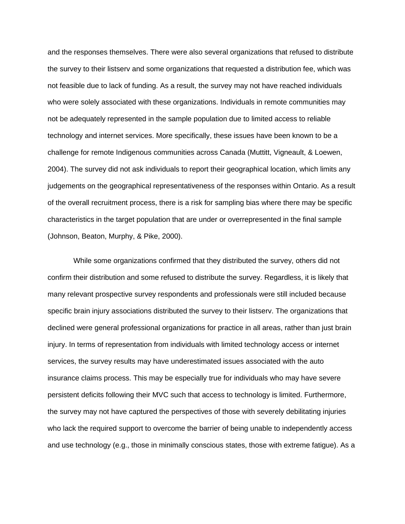and the responses themselves. There were also several organizations that refused to distribute the survey to their listserv and some organizations that requested a distribution fee, which was not feasible due to lack of funding. As a result, the survey may not have reached individuals who were solely associated with these organizations. Individuals in remote communities may not be adequately represented in the sample population due to limited access to reliable technology and internet services. More specifically, these issues have been known to be a challenge for remote Indigenous communities across Canada (Muttitt, Vigneault, & Loewen, 2004). The survey did not ask individuals to report their geographical location, which limits any judgements on the geographical representativeness of the responses within Ontario. As a result of the overall recruitment process, there is a risk for sampling bias where there may be specific characteristics in the target population that are under or overrepresented in the final sample (Johnson, Beaton, Murphy, & Pike, 2000).

While some organizations confirmed that they distributed the survey, others did not confirm their distribution and some refused to distribute the survey. Regardless, it is likely that many relevant prospective survey respondents and professionals were still included because specific brain injury associations distributed the survey to their listserv. The organizations that declined were general professional organizations for practice in all areas, rather than just brain injury. In terms of representation from individuals with limited technology access or internet services, the survey results may have underestimated issues associated with the auto insurance claims process. This may be especially true for individuals who may have severe persistent deficits following their MVC such that access to technology is limited. Furthermore, the survey may not have captured the perspectives of those with severely debilitating injuries who lack the required support to overcome the barrier of being unable to independently access and use technology (e.g., those in minimally conscious states, those with extreme fatigue). As a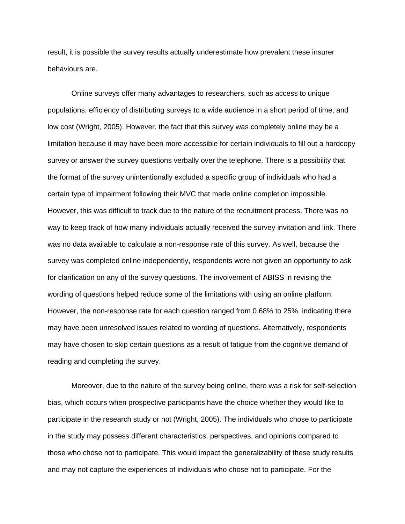result, it is possible the survey results actually underestimate how prevalent these insurer behaviours are.

Online surveys offer many advantages to researchers, such as access to unique populations, efficiency of distributing surveys to a wide audience in a short period of time, and low cost (Wright, 2005). However, the fact that this survey was completely online may be a limitation because it may have been more accessible for certain individuals to fill out a hardcopy survey or answer the survey questions verbally over the telephone. There is a possibility that the format of the survey unintentionally excluded a specific group of individuals who had a certain type of impairment following their MVC that made online completion impossible. However, this was difficult to track due to the nature of the recruitment process. There was no way to keep track of how many individuals actually received the survey invitation and link. There was no data available to calculate a non-response rate of this survey. As well, because the survey was completed online independently, respondents were not given an opportunity to ask for clarification on any of the survey questions. The involvement of ABISS in revising the wording of questions helped reduce some of the limitations with using an online platform. However, the non-response rate for each question ranged from 0.68% to 25%, indicating there may have been unresolved issues related to wording of questions. Alternatively, respondents may have chosen to skip certain questions as a result of fatigue from the cognitive demand of reading and completing the survey.

Moreover, due to the nature of the survey being online, there was a risk for self-selection bias, which occurs when prospective participants have the choice whether they would like to participate in the research study or not (Wright, 2005). The individuals who chose to participate in the study may possess different characteristics, perspectives, and opinions compared to those who chose not to participate. This would impact the generalizability of these study results and may not capture the experiences of individuals who chose not to participate. For the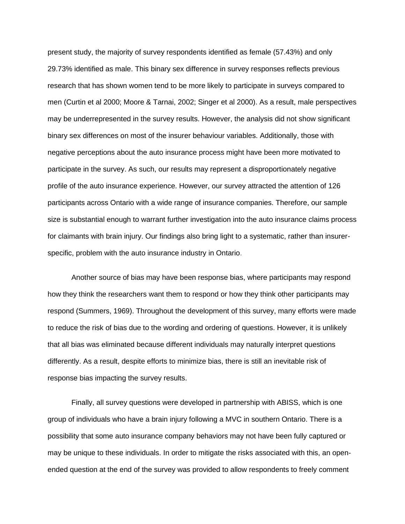present study, the majority of survey respondents identified as female (57.43%) and only 29.73% identified as male. This binary sex difference in survey responses reflects previous research that has shown women tend to be more likely to participate in surveys compared to men (Curtin et al 2000; Moore & Tarnai, 2002; Singer et al 2000). As a result, male perspectives may be underrepresented in the survey results. However, the analysis did not show significant binary sex differences on most of the insurer behaviour variables. Additionally, those with negative perceptions about the auto insurance process might have been more motivated to participate in the survey. As such, our results may represent a disproportionately negative profile of the auto insurance experience. However, our survey attracted the attention of 126 participants across Ontario with a wide range of insurance companies. Therefore, our sample size is substantial enough to warrant further investigation into the auto insurance claims process for claimants with brain injury. Our findings also bring light to a systematic, rather than insurerspecific, problem with the auto insurance industry in Ontario.

Another source of bias may have been response bias, where participants may respond how they think the researchers want them to respond or how they think other participants may respond (Summers, 1969). Throughout the development of this survey, many efforts were made to reduce the risk of bias due to the wording and ordering of questions. However, it is unlikely that all bias was eliminated because different individuals may naturally interpret questions differently. As a result, despite efforts to minimize bias, there is still an inevitable risk of response bias impacting the survey results.

Finally, all survey questions were developed in partnership with ABISS, which is one group of individuals who have a brain injury following a MVC in southern Ontario. There is a possibility that some auto insurance company behaviors may not have been fully captured or may be unique to these individuals. In order to mitigate the risks associated with this, an openended question at the end of the survey was provided to allow respondents to freely comment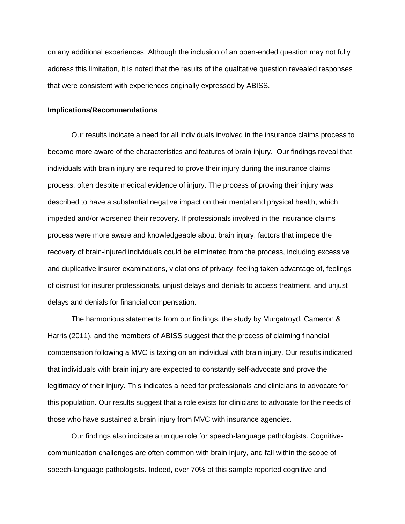on any additional experiences. Although the inclusion of an open-ended question may not fully address this limitation, it is noted that the results of the qualitative question revealed responses that were consistent with experiences originally expressed by ABISS.

#### **Implications/Recommendations**

Our results indicate a need for all individuals involved in the insurance claims process to become more aware of the characteristics and features of brain injury. Our findings reveal that individuals with brain injury are required to prove their injury during the insurance claims process, often despite medical evidence of injury. The process of proving their injury was described to have a substantial negative impact on their mental and physical health, which impeded and/or worsened their recovery. If professionals involved in the insurance claims process were more aware and knowledgeable about brain injury, factors that impede the recovery of brain-injured individuals could be eliminated from the process, including excessive and duplicative insurer examinations, violations of privacy, feeling taken advantage of, feelings of distrust for insurer professionals, unjust delays and denials to access treatment, and unjust delays and denials for financial compensation.

The harmonious statements from our findings, the study by Murgatroyd, Cameron & Harris (2011), and the members of ABISS suggest that the process of claiming financial compensation following a MVC is taxing on an individual with brain injury. Our results indicated that individuals with brain injury are expected to constantly self-advocate and prove the legitimacy of their injury. This indicates a need for professionals and clinicians to advocate for this population. Our results suggest that a role exists for clinicians to advocate for the needs of those who have sustained a brain injury from MVC with insurance agencies.

Our findings also indicate a unique role for speech-language pathologists. Cognitivecommunication challenges are often common with brain injury, and fall within the scope of speech-language pathologists. Indeed, over 70% of this sample reported cognitive and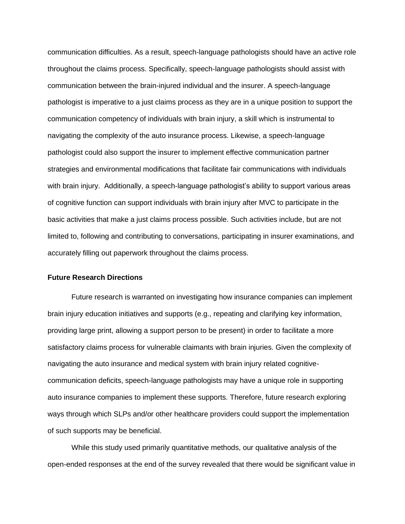communication difficulties. As a result, speech-language pathologists should have an active role throughout the claims process. Specifically, speech-language pathologists should assist with communication between the brain-injured individual and the insurer. A speech-language pathologist is imperative to a just claims process as they are in a unique position to support the communication competency of individuals with brain injury, a skill which is instrumental to navigating the complexity of the auto insurance process. Likewise, a speech-language pathologist could also support the insurer to implement effective communication partner strategies and environmental modifications that facilitate fair communications with individuals with brain injury. Additionally, a speech-language pathologist's ability to support various areas of cognitive function can support individuals with brain injury after MVC to participate in the basic activities that make a just claims process possible. Such activities include, but are not limited to, following and contributing to conversations, participating in insurer examinations, and accurately filling out paperwork throughout the claims process.

#### **Future Research Directions**

Future research is warranted on investigating how insurance companies can implement brain injury education initiatives and supports (e.g., repeating and clarifying key information, providing large print, allowing a support person to be present) in order to facilitate a more satisfactory claims process for vulnerable claimants with brain injuries. Given the complexity of navigating the auto insurance and medical system with brain injury related cognitivecommunication deficits, speech-language pathologists may have a unique role in supporting auto insurance companies to implement these supports. Therefore, future research exploring ways through which SLPs and/or other healthcare providers could support the implementation of such supports may be beneficial.

While this study used primarily quantitative methods, our qualitative analysis of the open-ended responses at the end of the survey revealed that there would be significant value in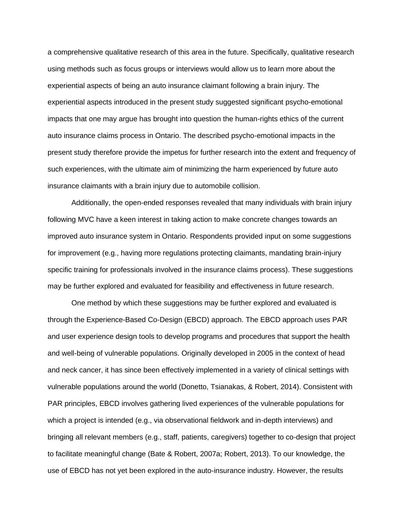a comprehensive qualitative research of this area in the future. Specifically, qualitative research using methods such as focus groups or interviews would allow us to learn more about the experiential aspects of being an auto insurance claimant following a brain injury. The experiential aspects introduced in the present study suggested significant psycho-emotional impacts that one may argue has brought into question the human-rights ethics of the current auto insurance claims process in Ontario. The described psycho-emotional impacts in the present study therefore provide the impetus for further research into the extent and frequency of such experiences, with the ultimate aim of minimizing the harm experienced by future auto insurance claimants with a brain injury due to automobile collision.

Additionally, the open-ended responses revealed that many individuals with brain injury following MVC have a keen interest in taking action to make concrete changes towards an improved auto insurance system in Ontario. Respondents provided input on some suggestions for improvement (e.g., having more regulations protecting claimants, mandating brain-injury specific training for professionals involved in the insurance claims process). These suggestions may be further explored and evaluated for feasibility and effectiveness in future research.

One method by which these suggestions may be further explored and evaluated is through the Experience-Based Co-Design (EBCD) approach. The EBCD approach uses PAR and user experience design tools to develop programs and procedures that support the health and well-being of vulnerable populations. Originally developed in 2005 in the context of head and neck cancer, it has since been effectively implemented in a variety of clinical settings with vulnerable populations around the world (Donetto, Tsianakas, & Robert, 2014). Consistent with PAR principles, EBCD involves gathering lived experiences of the vulnerable populations for which a project is intended (e.g., via observational fieldwork and in-depth interviews) and bringing all relevant members (e.g., staff, patients, caregivers) together to co-design that project to facilitate meaningful change (Bate & Robert, 2007a; Robert, 2013). To our knowledge, the use of EBCD has not yet been explored in the auto-insurance industry. However, the results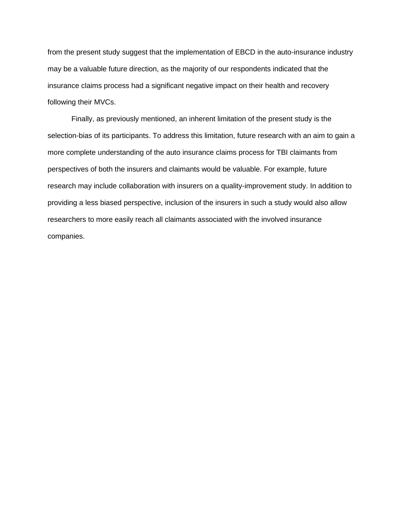from the present study suggest that the implementation of EBCD in the auto-insurance industry may be a valuable future direction, as the majority of our respondents indicated that the insurance claims process had a significant negative impact on their health and recovery following their MVCs.

Finally, as previously mentioned, an inherent limitation of the present study is the selection-bias of its participants. To address this limitation, future research with an aim to gain a more complete understanding of the auto insurance claims process for TBI claimants from perspectives of both the insurers and claimants would be valuable. For example, future research may include collaboration with insurers on a quality-improvement study. In addition to providing a less biased perspective, inclusion of the insurers in such a study would also allow researchers to more easily reach all claimants associated with the involved insurance companies.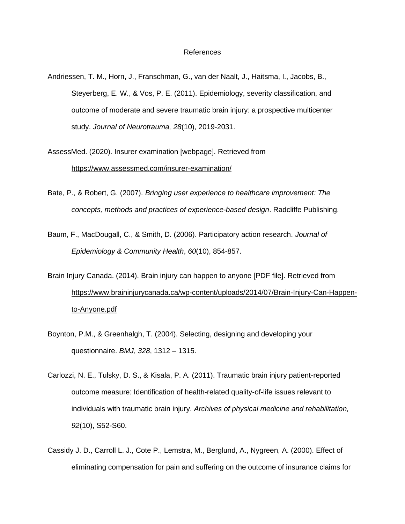#### References

- Andriessen, T. M., Horn, J., Franschman, G., van der Naalt, J., Haitsma, I., Jacobs, B., Steyerberg, E. W., & Vos, P. E. (2011). Epidemiology, severity classification, and outcome of moderate and severe traumatic brain injury: a prospective multicenter study. *Journal of Neurotrauma, 28*(10), 2019-2031.
- AssessMed. (2020). Insurer examination [webpage]. Retrieved from <https://www.assessmed.com/insurer-examination/>
- Bate, P., & Robert, G. (2007). *Bringing user experience to healthcare improvement: The concepts, methods and practices of experience-based design*. Radcliffe Publishing.
- Baum, F., MacDougall, C., & Smith, D. (2006). Participatory action research. *Journal of Epidemiology & Community Health*, *60*(10), 854-857.
- Brain Injury Canada. (2014). Brain injury can happen to anyone [PDF file]. Retrieved fro[m](https://www.braininjurycanada.ca/wp-content/uploads/2014/07/Brain-Injury-Can-Happen-to-Anyone.pdf) [https://www.braininjurycanada.ca/wp-content/uploads/2014/07/Brain-Injury-Can-Happen](https://www.braininjurycanada.ca/wp-content/uploads/2014/07/Brain-Injury-Can-Happen-to-Anyone.pdf)[to-Anyone.pdf](https://www.braininjurycanada.ca/wp-content/uploads/2014/07/Brain-Injury-Can-Happen-to-Anyone.pdf)
- Boynton, P.M., & Greenhalgh, T. (2004). Selecting, designing and developing your questionnaire. *BMJ*, *328*, 1312 – 1315.
- Carlozzi, N. E., Tulsky, D. S., & Kisala, P. A. (2011). Traumatic brain injury patient-reported outcome measure: Identification of health-related quality-of-life issues relevant to individuals with traumatic brain injury. *Archives of physical medicine and rehabilitation, 92*(10), S52-S60.
- Cassidy J. D., Carroll L. J., Cote P., Lemstra, M., Berglund, A., Nygreen, A. (2000). Effect of eliminating compensation for pain and suffering on the outcome of insurance claims for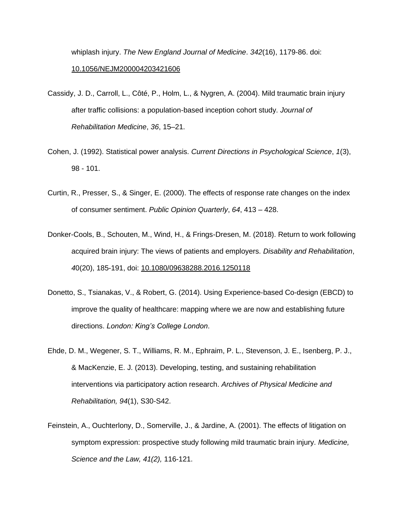whiplash injury. *The New England Journal of Medicine*. *342*(16), 1179-86. doi[:](https://doi.org/10.1056/NEJM200004203421606) [10.1056/NEJM200004203421606](https://doi.org/10.1056/NEJM200004203421606)

- Cassidy, J. D., Carroll, L., Côté, P., Holm, L., & Nygren, A. (2004). Mild traumatic brain injury after traffic collisions: a population-based inception cohort study. *Journal of Rehabilitation Medicine*, *36*, 15–21.
- Cohen, J. (1992). Statistical power analysis. *Current Directions in Psychological Science*, *1*(3), 98 - 101.
- Curtin, R., Presser, S., & Singer, E. (2000). The effects of response rate changes on the index of consumer sentiment. *Public Opinion Quarterly*, *64*, 413 – 428.
- Donker-Cools, B., Schouten, M., Wind, H., & Frings-Dresen, M. (2018). Return to work following acquired brain injury: The views of patients and employers. *Disability and Rehabilitation*, *4*0(20), 185-191, doi: [10.1080/09638288.2016.1250118](https://doi.org/10.1080/09638288.2016.1250118)
- Donetto, S., Tsianakas, V., & Robert, G. (2014). Using Experience-based Co-design (EBCD) to improve the quality of healthcare: mapping where we are now and establishing future directions. *London: King's College London*.
- Ehde, D. M., Wegener, S. T., Williams, R. M., Ephraim, P. L., Stevenson, J. E., Isenberg, P. J., & MacKenzie, E. J. (2013). Developing, testing, and sustaining rehabilitation interventions via participatory action research. *Archives of Physical Medicine and Rehabilitation, 94*(1), S30-S42.
- Feinstein, A., Ouchterlony, D., Somerville, J., & Jardine, A. (2001). The effects of litigation on symptom expression: prospective study following mild traumatic brain injury. *Medicine, Science and the Law, 41(2),* 116-121.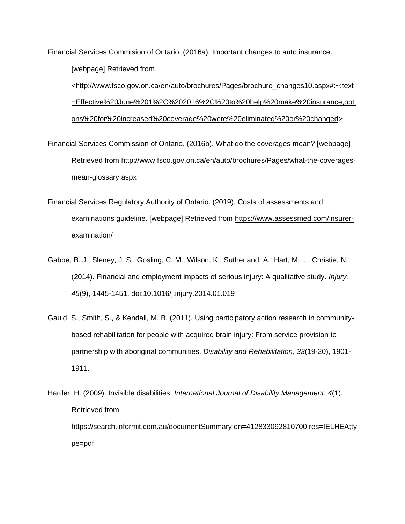Financial Services Commision of Ontario. (2016a). Important changes to auto insurance. [webpage] Retrieved from

[<http://www.fsco.gov.on.ca/en/auto/brochures/Pages/brochure\\_changes10.aspx#:~:text](http://www.fsco.gov.on.ca/en/auto/brochures/Pages/brochure_changes10.aspx#:~:text=Effective%20June%201%2C%202016%2C%20to%20help%20make%20insurance,options%20for%20increased%20coverage%20were%20eliminated%20or%20changed) [=Effective%20June%201%2C%202016%2C%20to%20help%20make%20insurance,opti](http://www.fsco.gov.on.ca/en/auto/brochures/Pages/brochure_changes10.aspx#:~:text=Effective%20June%201%2C%202016%2C%20to%20help%20make%20insurance,options%20for%20increased%20coverage%20were%20eliminated%20or%20changed) [ons%20for%20increased%20coverage%20were%20eliminated%20or%20changed>](http://www.fsco.gov.on.ca/en/auto/brochures/Pages/brochure_changes10.aspx#:~:text=Effective%20June%201%2C%202016%2C%20to%20help%20make%20insurance,options%20for%20increased%20coverage%20were%20eliminated%20or%20changed)

- Financial Services Commission of Ontario. (2016b). What do the coverages mean? [webpage] Retrieved from [http://www.fsco.gov.on.ca/en/auto/brochures/Pages/what-the-coverages](http://www.fsco.gov.on.ca/en/auto/brochures/Pages/what-the-coverages-mean-glossary.aspx)[mean-glossary.aspx](http://www.fsco.gov.on.ca/en/auto/brochures/Pages/what-the-coverages-mean-glossary.aspx)
- Financial Services Regulatory Authority of Ontario. (2019). Costs of assessments and examinations guideline. [webpage] Retrieved from [https://www.assessmed.com/insurer](https://www.assessmed.com/insurer-examination/)[examination/](https://www.assessmed.com/insurer-examination/)
- Gabbe, B. J., Sleney, J. S., Gosling, C. M., Wilson, K., Sutherland, A., Hart, M., ... Christie, N. (2014). Financial and employment impacts of serious injury: A qualitative study. *Injury, 45*(9), 1445-1451. doi:10.1016/j.injury.2014.01.019
- Gauld, S., Smith, S., & Kendall, M. B. (2011). Using participatory action research in communitybased rehabilitation for people with acquired brain injury: From service provision to partnership with aboriginal communities. *Disability and Rehabilitation*, *33*(19-20), 1901- 1911.
- Harder, H. (2009). Invisible disabilities. *International Journal of Disability Management*, *4*(1). Retrieved from https://search.informit.com.au/documentSummary;dn=412833092810700;res=IELHEA;ty pe=pdf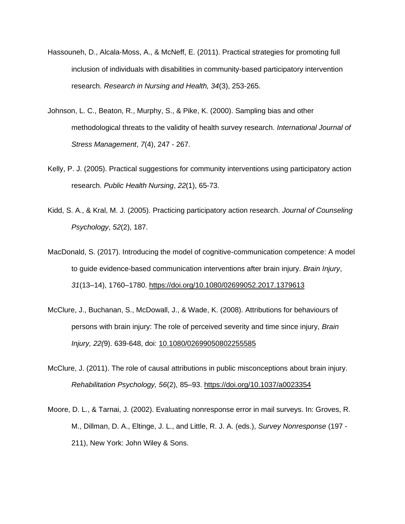- Hassouneh, D., Alcala‐Moss, A., & McNeff, E. (2011). Practical strategies for promoting full inclusion of individuals with disabilities in community‐based participatory intervention research. *Research in Nursing and Health, 34*(3), 253-265.
- Johnson, L. C., Beaton, R., Murphy, S., & Pike, K. (2000). Sampling bias and other methodological threats to the validity of health survey research. *International Journal of Stress Management*, *7*(4), 247 - 267.
- Kelly, P. J. (2005). Practical suggestions for community interventions using participatory action research. *Public Health Nursing*, *22*(1), 65-73.
- Kidd, S. A., & Kral, M. J. (2005). Practicing participatory action research. *Journal of Counseling Psychology*, *52*(2), 187.
- MacDonald, S. (2017). Introducing the model of cognitive-communication competence: A model to guide evidence-based communication interventions after brain injury. *Brain Injury*, *31*(13–14), 1760–1780.<https://doi.org/10.1080/02699052.2017.1379613>
- McClure, J., Buchanan, S., McDowall, J., & Wade, K. (2008). Attributions for behaviours of persons with brain injury: The role of perceived severity and time since injury, *Brain Injury, 22(*9). 639-648, doi: [10.1080/02699050802255585](https://doi.org/10.1080/02699050802255585)
- McClure, J. (2011). The role of causal attributions in public misconceptions about brain injury. *Rehabilitation Psychology, 56*(2), 85–93. [https://doi.org/10.1037/a0023354](https://psycnet.apa.org/doi/10.1037/a0023354)
- Moore, D. L., & Tarnai, J. (2002). Evaluating nonresponse error in mail surveys. In: Groves, R. M., Dillman, D. A., Eltinge, J. L., and Little, R. J. A. (eds.), *Survey Nonresponse* (197 - 211), New York: John Wiley & Sons.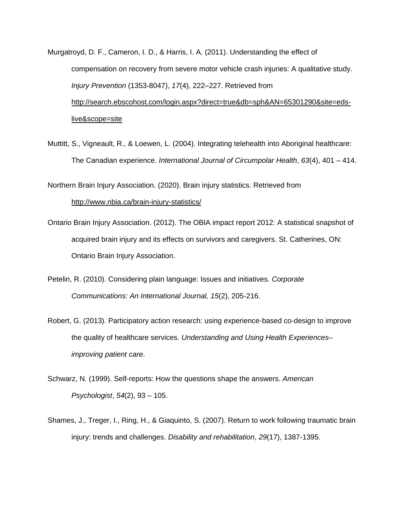- Murgatroyd, D. F., Cameron, I. D., & Harris, I. A. (2011). Understanding the effect of compensation on recovery from severe motor vehicle crash injuries: A qualitative study. *Injury Prevention* (1353-8047), *17*(4), 222–227. Retrieved from [http://search.ebscohost.com/login.aspx?direct=true&db=sph&AN=65301290&site=eds](http://search.ebscohost.com/login.aspx?direct=true&db=sph&AN=65301290&site=eds-live&scope=site)[live&scope=site](http://search.ebscohost.com/login.aspx?direct=true&db=sph&AN=65301290&site=eds-live&scope=site)
- Muttitt, S., Vigneault, R., & Loewen, L. (2004). Integrating telehealth into Aboriginal healthcare: The Canadian experience. *International Journal of Circumpolar Health*, *63*(4), 401 – 414.

Northern Brain Injury Association. (2020). Brain injury statistics. Retrieved fro[m](http://www.nbia.ca/brain-injury-statistics/) <http://www.nbia.ca/brain-injury-statistics/>

- Ontario Brain Injury Association. (2012). The OBIA impact report 2012: A statistical snapshot of acquired brain injury and its effects on survivors and caregivers. St. Catherines, ON: Ontario Brain Injury Association.
- Petelin, R. (2010). Considering plain language: Issues and initiatives. *Corporate Communications: An International Journal, 15*(2), 205-216.
- Robert, G. (2013). Participatory action research: using experience-based co-design to improve the quality of healthcare services. *Understanding and Using Health Experiences– improving patient care*.
- Schwarz, N. (1999). Self-reports: How the questions shape the answers. *American Psychologist*, *54*(2), 93 – 105.
- Shames, J., Treger, I., Ring, H., & Giaquinto, S. (2007). Return to work following traumatic brain injury: trends and challenges. *Disability and rehabilitation*, *29*(17), 1387-1395.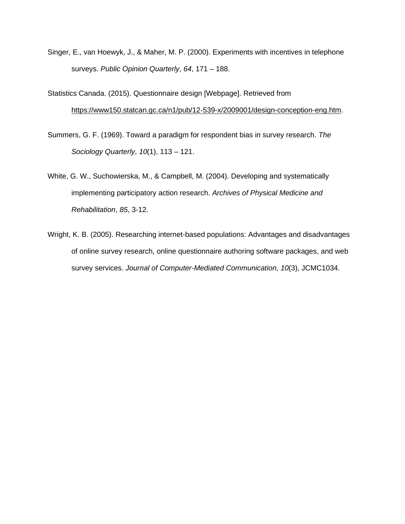Singer, E., van Hoewyk, J., & Maher, M. P. (2000). Experiments with incentives in telephone surveys. *Public Opinion Quarterly*, *64*, 171 – 188.

Statistics Canada. (2015). Questionnaire design [Webpage]. Retrieved from [https://www150.statcan.gc.ca/n1/pub/12-539-x/2009001/design-conception-eng.htm.](https://www150.statcan.gc.ca/n1/pub/12-539-x/2009001/design-conception-eng.htm)

- Summers, G. F. (1969). Toward a paradigm for respondent bias in survey research. *The Sociology Quarterly*, *10*(1), 113 – 121.
- White, G. W., Suchowierska, M., & Campbell, M. (2004). Developing and systematically implementing participatory action research. *Archives of Physical Medicine and Rehabilitation*, *85*, 3-12.
- Wright, K. B. (2005). Researching internet-based populations: Advantages and disadvantages of online survey research, online questionnaire authoring software packages, and web survey services. *Journal of Computer-Mediated Communication*, *10*(3), JCMC1034.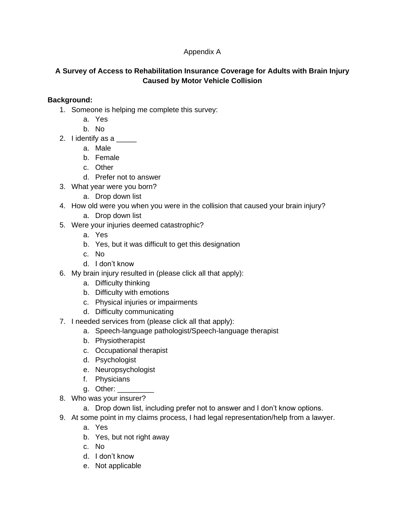# Appendix A

# **A Survey of Access to Rehabilitation Insurance Coverage for Adults with Brain Injury Caused by Motor Vehicle Collision**

# **Background:**

- 1. Someone is helping me complete this survey:
	- a. Yes
	- b. No
- 2. I identify as a  $\frac{1}{\sqrt{2}}$ 
	- a. Male
	- b. Female
	- c. Other
	- d. Prefer not to answer
- 3. What year were you born?
	- a. Drop down list
- 4. How old were you when you were in the collision that caused your brain injury?
	- a. Drop down list
- 5. Were your injuries deemed catastrophic?
	- a. Yes
	- b. Yes, but it was difficult to get this designation
	- c. No
	- d. I don't know
- 6. My brain injury resulted in (please click all that apply):
	- a. Difficulty thinking
	- b. Difficulty with emotions
	- c. Physical injuries or impairments
	- d. Difficulty communicating
- 7. I needed services from (please click all that apply):
	- a. Speech-language pathologist/Speech-language therapist
	- b. Physiotherapist
	- c. Occupational therapist
	- d. Psychologist
	- e. Neuropsychologist
	- f. Physicians
	- g. Other: \_\_\_\_\_\_\_\_\_
- 8. Who was your insurer?
	- a. Drop down list, including prefer not to answer and I don't know options.
- 9. At some point in my claims process, I had legal representation/help from a lawyer.
	- a. Yes
	- b. Yes, but not right away
	- c. No
	- d. I don't know
	- e. Not applicable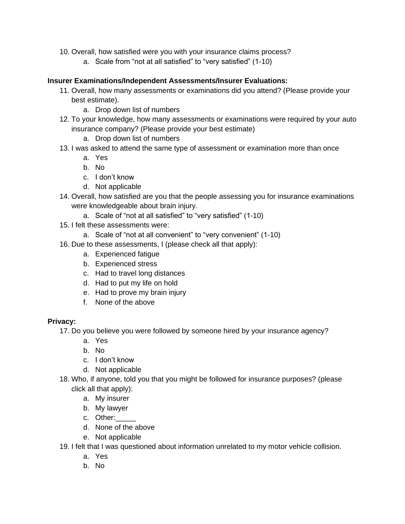- 10. Overall, how satisfied were you with your insurance claims process?
	- a. Scale from "not at all satisfied" to "very satisfied" (1-10)

### **Insurer Examinations/Independent Assessments/Insurer Evaluations:**

- 11. Overall, how many assessments or examinations did you attend? (Please provide your best estimate).
	- a. Drop down list of numbers
- 12. To your knowledge, how many assessments or examinations were required by your auto insurance company? (Please provide your best estimate)
	- a. Drop down list of numbers
- 13. I was asked to attend the same type of assessment or examination more than once
	- a. Yes
	- b. No
	- c. I don't know
	- d. Not applicable
- 14. Overall, how satisfied are you that the people assessing you for insurance examinations were knowledgeable about brain injury.
	- a. Scale of "not at all satisfied" to "very satisfied" (1-10)
- 15. I felt these assessments were:
	- a. Scale of "not at all convenient" to "very convenient" (1-10)
- 16. Due to these assessments, I (please check all that apply):
	- a. Experienced fatigue
	- b. Experienced stress
	- c. Had to travel long distances
	- d. Had to put my life on hold
	- e. Had to prove my brain injury
	- f. None of the above

### **Privacy:**

17. Do you believe you were followed by someone hired by your insurance agency?

- a. Yes
- b. No
- c. I don't know
- d. Not applicable
- 18. Who, if anyone, told you that you might be followed for insurance purposes? (please click all that apply):
	- a. My insurer
	- b. My lawyer
	- c. Other:\_\_\_\_\_
	- d. None of the above
	- e. Not applicable
- 19. I felt that I was questioned about information unrelated to my motor vehicle collision.
	- a. Yes
	- b. No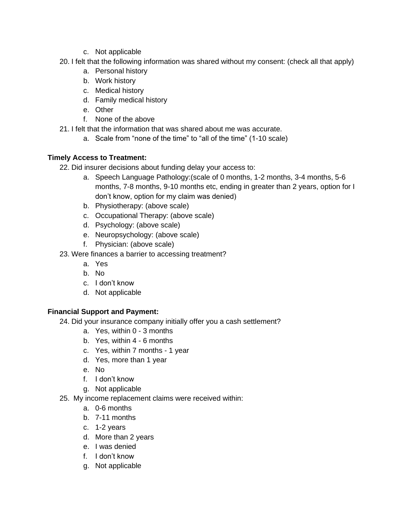- c. Not applicable
- 20. I felt that the following information was shared without my consent: (check all that apply)
	- a. Personal history
	- b. Work history
	- c. Medical history
	- d. Family medical history
	- e. Other
	- f. None of the above
- 21. I felt that the information that was shared about me was accurate.
	- a. Scale from "none of the time" to "all of the time" (1-10 scale)

# **Timely Access to Treatment:**

- 22. Did insurer decisions about funding delay your access to:
	- a. Speech Language Pathology:(scale of 0 months, 1-2 months, 3-4 months, 5-6 months, 7-8 months, 9-10 months etc, ending in greater than 2 years, option for I don't know, option for my claim was denied)
	- b. Physiotherapy: (above scale)
	- c. Occupational Therapy: (above scale)
	- d. Psychology: (above scale)
	- e. Neuropsychology: (above scale)
	- f. Physician: (above scale)
- 23. Were finances a barrier to accessing treatment?
	- a. Yes
	- b. No
	- c. I don't know
	- d. Not applicable

# **Financial Support and Payment:**

- 24. Did your insurance company initially offer you a cash settlement?
	- a. Yes, within 0 3 months
	- b. Yes, within 4 6 months
	- c. Yes, within 7 months 1 year
	- d. Yes, more than 1 year
	- e. No
	- f. I don't know
	- g. Not applicable
- 25. My income replacement claims were received within:
	- a. 0-6 months
	- b. 7-11 months
	- c. 1-2 years
	- d. More than 2 years
	- e. I was denied
	- f. I don't know
	- g. Not applicable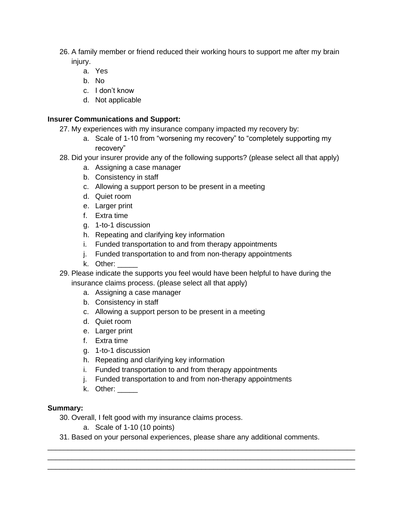- 26. A family member or friend reduced their working hours to support me after my brain injury.
	- a. Yes
	- b. No
	- c. I don't know
	- d. Not applicable

# **Insurer Communications and Support:**

- 27. My experiences with my insurance company impacted my recovery by:
	- a. Scale of 1-10 from "worsening my recovery" to "completely supporting my recovery"
- 28. Did your insurer provide any of the following supports? (please select all that apply)
	- a. Assigning a case manager
	- b. Consistency in staff
	- c. Allowing a support person to be present in a meeting
	- d. Quiet room
	- e. Larger print
	- f. Extra time
	- g. 1-to-1 discussion
	- h. Repeating and clarifying key information
	- i. Funded transportation to and from therapy appointments
	- j. Funded transportation to and from non-therapy appointments
	- k. Other: \_\_\_\_\_
- 29. Please indicate the supports you feel would have been helpful to have during the insurance claims process. (please select all that apply)
	- a. Assigning a case manager
	- b. Consistency in staff
	- c. Allowing a support person to be present in a meeting
	- d. Quiet room
	- e. Larger print
	- f. Extra time
	- g. 1-to-1 discussion
	- h. Repeating and clarifying key information
	- i. Funded transportation to and from therapy appointments
	- j. Funded transportation to and from non-therapy appointments
	- k. Other:

### **Summary:**

- 30. Overall, I felt good with my insurance claims process.
	- a. Scale of 1-10 (10 points)
- 31. Based on your personal experiences, please share any additional comments.

\_\_\_\_\_\_\_\_\_\_\_\_\_\_\_\_\_\_\_\_\_\_\_\_\_\_\_\_\_\_\_\_\_\_\_\_\_\_\_\_\_\_\_\_\_\_\_\_\_\_\_\_\_\_\_\_\_\_\_\_\_\_\_\_\_\_\_\_\_\_\_\_\_\_\_\_ \_\_\_\_\_\_\_\_\_\_\_\_\_\_\_\_\_\_\_\_\_\_\_\_\_\_\_\_\_\_\_\_\_\_\_\_\_\_\_\_\_\_\_\_\_\_\_\_\_\_\_\_\_\_\_\_\_\_\_\_\_\_\_\_\_\_\_\_\_\_\_\_\_\_\_\_ \_\_\_\_\_\_\_\_\_\_\_\_\_\_\_\_\_\_\_\_\_\_\_\_\_\_\_\_\_\_\_\_\_\_\_\_\_\_\_\_\_\_\_\_\_\_\_\_\_\_\_\_\_\_\_\_\_\_\_\_\_\_\_\_\_\_\_\_\_\_\_\_\_\_\_\_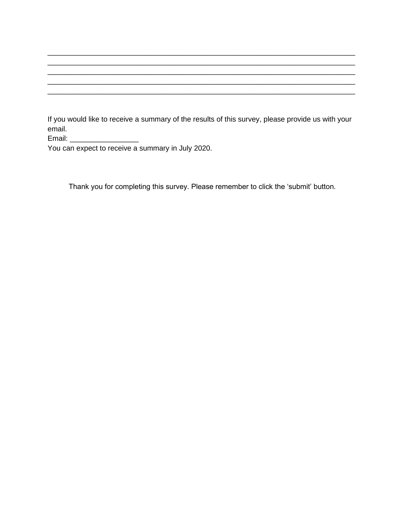If you would like to receive a summary of the results of this survey, please provide us with your email.

\_\_\_\_\_\_\_\_\_\_\_\_\_\_\_\_\_\_\_\_\_\_\_\_\_\_\_\_\_\_\_\_\_\_\_\_\_\_\_\_\_\_\_\_\_\_\_\_\_\_\_\_\_\_\_\_\_\_\_\_\_\_\_\_\_\_\_\_\_\_\_\_\_\_\_\_ \_\_\_\_\_\_\_\_\_\_\_\_\_\_\_\_\_\_\_\_\_\_\_\_\_\_\_\_\_\_\_\_\_\_\_\_\_\_\_\_\_\_\_\_\_\_\_\_\_\_\_\_\_\_\_\_\_\_\_\_\_\_\_\_\_\_\_\_\_\_\_\_\_\_\_\_ \_\_\_\_\_\_\_\_\_\_\_\_\_\_\_\_\_\_\_\_\_\_\_\_\_\_\_\_\_\_\_\_\_\_\_\_\_\_\_\_\_\_\_\_\_\_\_\_\_\_\_\_\_\_\_\_\_\_\_\_\_\_\_\_\_\_\_\_\_\_\_\_\_\_\_\_ \_\_\_\_\_\_\_\_\_\_\_\_\_\_\_\_\_\_\_\_\_\_\_\_\_\_\_\_\_\_\_\_\_\_\_\_\_\_\_\_\_\_\_\_\_\_\_\_\_\_\_\_\_\_\_\_\_\_\_\_\_\_\_\_\_\_\_\_\_\_\_\_\_\_\_\_

Email: \_\_\_\_\_\_\_\_\_\_\_\_\_\_\_\_\_

You can expect to receive a summary in July 2020.

Thank you for completing this survey. Please remember to click the 'submit' button.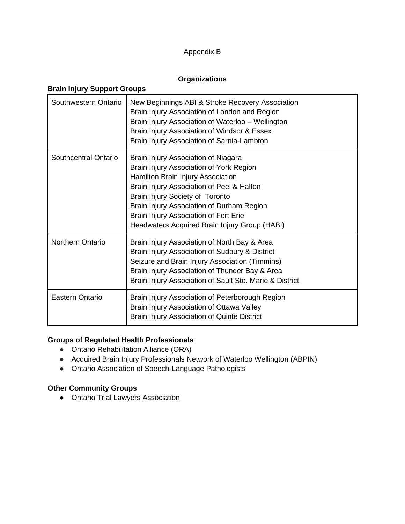# Appendix B

# **Organizations**

# **Brain Injury Support Groups**

| Southwestern Ontario    | New Beginnings ABI & Stroke Recovery Association<br>Brain Injury Association of London and Region<br>Brain Injury Association of Waterloo - Wellington<br>Brain Injury Association of Windsor & Essex<br>Brain Injury Association of Sarnia-Lambton                                                                                        |
|-------------------------|--------------------------------------------------------------------------------------------------------------------------------------------------------------------------------------------------------------------------------------------------------------------------------------------------------------------------------------------|
| Southcentral Ontario    | Brain Injury Association of Niagara<br>Brain Injury Association of York Region<br>Hamilton Brain Injury Association<br>Brain Injury Association of Peel & Halton<br>Brain Injury Society of Toronto<br>Brain Injury Association of Durham Region<br>Brain Injury Association of Fort Erie<br>Headwaters Acquired Brain Injury Group (HABI) |
| <b>Northern Ontario</b> | Brain Injury Association of North Bay & Area<br>Brain Injury Association of Sudbury & District<br>Seizure and Brain Injury Association (Timmins)<br>Brain Injury Association of Thunder Bay & Area<br>Brain Injury Association of Sault Ste. Marie & District                                                                              |
| Eastern Ontario         | Brain Injury Association of Peterborough Region<br>Brain Injury Association of Ottawa Valley<br>Brain Injury Association of Quinte District                                                                                                                                                                                                |

# **Groups of Regulated Health Professionals**

- Ontario Rehabilitation Alliance (ORA)
- Acquired Brain Injury Professionals Network of Waterloo Wellington (ABPIN)
- Ontario Association of Speech-Language Pathologists

# **Other Community Groups**

● Ontario Trial Lawyers Association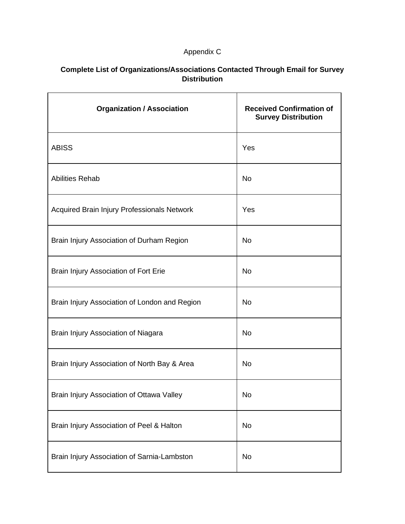# Appendix C

# **Complete List of Organizations/Associations Contacted Through Email for Survey Distribution**

| <b>Organization / Association</b>             | <b>Received Confirmation of</b><br><b>Survey Distribution</b> |
|-----------------------------------------------|---------------------------------------------------------------|
| <b>ABISS</b>                                  | Yes                                                           |
| <b>Abilities Rehab</b>                        | <b>No</b>                                                     |
| Acquired Brain Injury Professionals Network   | Yes                                                           |
| Brain Injury Association of Durham Region     | <b>No</b>                                                     |
| Brain Injury Association of Fort Erie         | <b>No</b>                                                     |
| Brain Injury Association of London and Region | <b>No</b>                                                     |
| Brain Injury Association of Niagara           | <b>No</b>                                                     |
| Brain Injury Association of North Bay & Area  | <b>No</b>                                                     |
| Brain Injury Association of Ottawa Valley     | No                                                            |
| Brain Injury Association of Peel & Halton     | No                                                            |
| Brain Injury Association of Sarnia-Lambston   | No                                                            |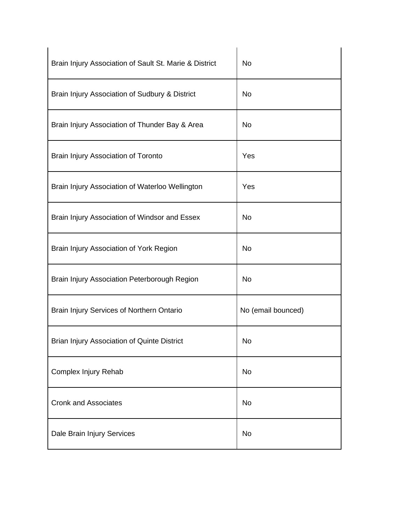| Brain Injury Association of Sault St. Marie & District | <b>No</b>          |
|--------------------------------------------------------|--------------------|
| Brain Injury Association of Sudbury & District         | No                 |
| Brain Injury Association of Thunder Bay & Area         | No                 |
| Brain Injury Association of Toronto                    | Yes                |
| Brain Injury Association of Waterloo Wellington        | Yes                |
| Brain Injury Association of Windsor and Essex          | <b>No</b>          |
| Brain Injury Association of York Region                | <b>No</b>          |
| Brain Injury Association Peterborough Region           | No                 |
| Brain Injury Services of Northern Ontario              | No (email bounced) |
| <b>Brian Injury Association of Quinte District</b>     | No                 |
| Complex Injury Rehab                                   | <b>No</b>          |
| <b>Cronk and Associates</b>                            | <b>No</b>          |
| Dale Brain Injury Services                             | <b>No</b>          |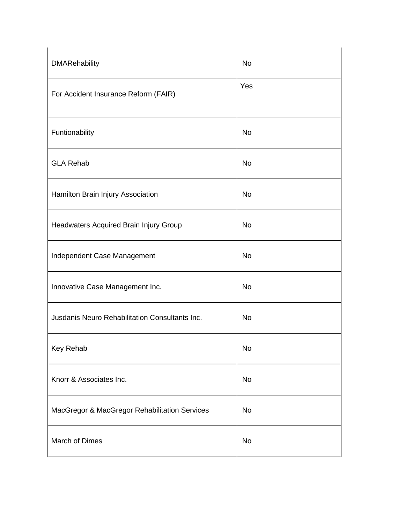| <b>DMARehability</b>                           | <b>No</b> |
|------------------------------------------------|-----------|
| For Accident Insurance Reform (FAIR)           | Yes       |
| Funtionability                                 | <b>No</b> |
| <b>GLA Rehab</b>                               | <b>No</b> |
| Hamilton Brain Injury Association              | <b>No</b> |
| Headwaters Acquired Brain Injury Group         | <b>No</b> |
| Independent Case Management                    | <b>No</b> |
| Innovative Case Management Inc.                | <b>No</b> |
| Jusdanis Neuro Rehabilitation Consultants Inc. | <b>No</b> |
| Key Rehab                                      | <b>No</b> |
| Knorr & Associates Inc.                        | <b>No</b> |
| MacGregor & MacGregor Rehabilitation Services  | <b>No</b> |
| March of Dimes                                 | <b>No</b> |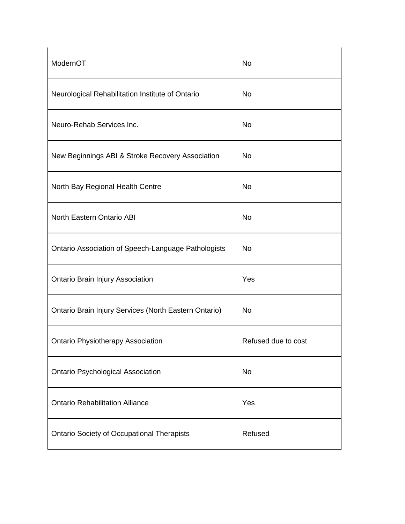| ModernOT                                              | <b>No</b>           |
|-------------------------------------------------------|---------------------|
| Neurological Rehabilitation Institute of Ontario      | <b>No</b>           |
| Neuro-Rehab Services Inc.                             | <b>No</b>           |
| New Beginnings ABI & Stroke Recovery Association      | <b>No</b>           |
| North Bay Regional Health Centre                      | <b>No</b>           |
| North Eastern Ontario ABI                             | <b>No</b>           |
| Ontario Association of Speech-Language Pathologists   | <b>No</b>           |
| <b>Ontario Brain Injury Association</b>               | Yes                 |
| Ontario Brain Injury Services (North Eastern Ontario) | <b>No</b>           |
| <b>Ontario Physiotherapy Association</b>              | Refused due to cost |
| <b>Ontario Psychological Association</b>              | <b>No</b>           |
| <b>Ontario Rehabilitation Alliance</b>                | Yes                 |
| <b>Ontario Society of Occupational Therapists</b>     | Refused             |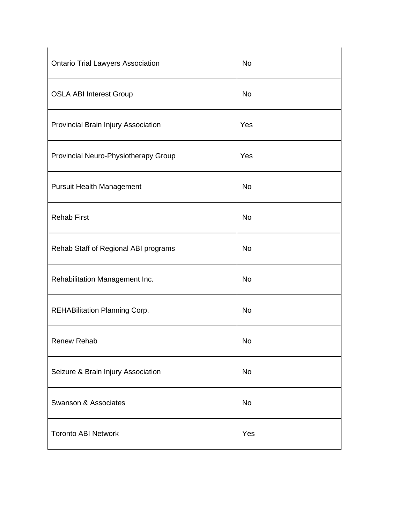| <b>Ontario Trial Lawyers Association</b> | <b>No</b> |
|------------------------------------------|-----------|
| <b>OSLA ABI Interest Group</b>           | <b>No</b> |
| Provincial Brain Injury Association      | Yes       |
| Provincial Neuro-Physiotherapy Group     | Yes       |
| <b>Pursuit Health Management</b>         | <b>No</b> |
| <b>Rehab First</b>                       | <b>No</b> |
| Rehab Staff of Regional ABI programs     | <b>No</b> |
| Rehabilitation Management Inc.           | <b>No</b> |
| REHABilitation Planning Corp.            | <b>No</b> |
| <b>Renew Rehab</b>                       | <b>No</b> |
| Seizure & Brain Injury Association       | <b>No</b> |
| <b>Swanson &amp; Associates</b>          | <b>No</b> |
| <b>Toronto ABI Network</b>               | Yes       |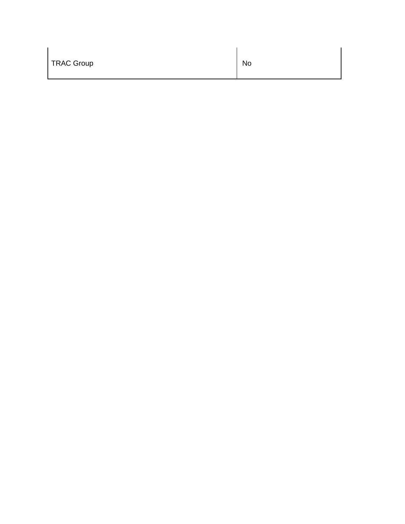| <b>TRAC Group</b> | No |
|-------------------|----|
|                   |    |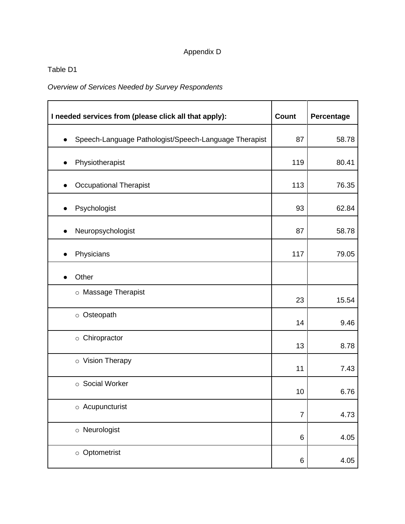# Appendix D

# Table D1

*Overview of Services Needed by Survey Respondents*

| I needed services from (please click all that apply): | <b>Count</b>   | Percentage |
|-------------------------------------------------------|----------------|------------|
| Speech-Language Pathologist/Speech-Language Therapist | 87             | 58.78      |
| Physiotherapist                                       | 119            | 80.41      |
| <b>Occupational Therapist</b>                         | 113            | 76.35      |
| Psychologist                                          | 93             | 62.84      |
| Neuropsychologist                                     | 87             | 58.78      |
| Physicians                                            | 117            | 79.05      |
| Other                                                 |                |            |
| o Massage Therapist                                   | 23             | 15.54      |
| o Osteopath                                           | 14             | 9.46       |
| o Chiropractor                                        | 13             | 8.78       |
| o Vision Therapy                                      | 11             | 7.43       |
| ○ Social Worker                                       | 10             | 6.76       |
| o Acupuncturist                                       | $\overline{7}$ | 4.73       |
| o Neurologist                                         | 6              | 4.05       |
| $\circ$ Optometrist                                   | 6              | 4.05       |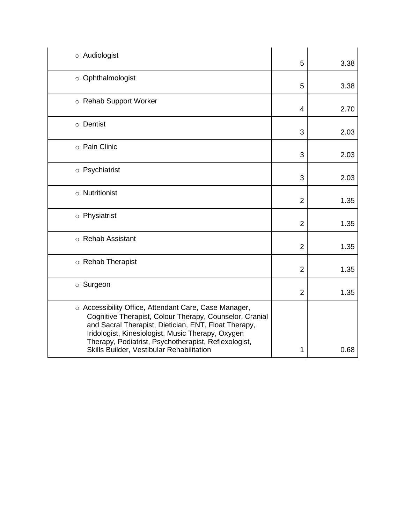| $\circ$ Audiologist                                                                                                                                                                                                                                                                                                                | 5              | 3.38 |
|------------------------------------------------------------------------------------------------------------------------------------------------------------------------------------------------------------------------------------------------------------------------------------------------------------------------------------|----------------|------|
| o Ophthalmologist                                                                                                                                                                                                                                                                                                                  | 5              | 3.38 |
| ○ Rehab Support Worker                                                                                                                                                                                                                                                                                                             | 4              | 2.70 |
| $\circ$ Dentist                                                                                                                                                                                                                                                                                                                    | 3              | 2.03 |
| o Pain Clinic                                                                                                                                                                                                                                                                                                                      | 3              | 2.03 |
| o Psychiatrist                                                                                                                                                                                                                                                                                                                     | 3              | 2.03 |
| o Nutritionist                                                                                                                                                                                                                                                                                                                     | $\overline{2}$ | 1.35 |
| o Physiatrist                                                                                                                                                                                                                                                                                                                      | $\overline{2}$ | 1.35 |
| ○ Rehab Assistant                                                                                                                                                                                                                                                                                                                  | $\overline{2}$ | 1.35 |
| o Rehab Therapist                                                                                                                                                                                                                                                                                                                  | $\overline{2}$ | 1.35 |
| $\circ$ Surgeon                                                                                                                                                                                                                                                                                                                    | $\overline{2}$ | 1.35 |
| ○ Accessibility Office, Attendant Care, Case Manager,<br>Cognitive Therapist, Colour Therapy, Counselor, Cranial<br>and Sacral Therapist, Dietician, ENT, Float Therapy,<br>Iridologist, Kinesiologist, Music Therapy, Oxygen<br>Therapy, Podiatrist, Psychotherapist, Reflexologist,<br>Skills Builder, Vestibular Rehabilitation | 1              | 0.68 |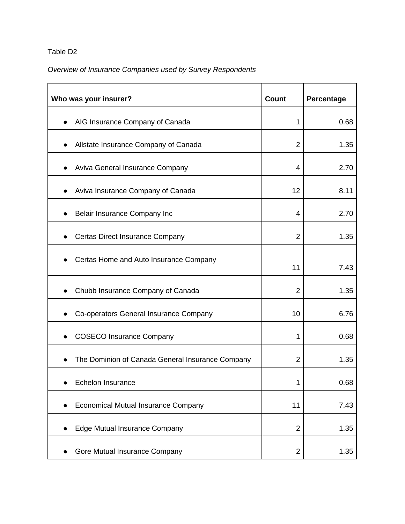# Table D2

# *Overview of Insurance Companies used by Survey Respondents*

| Who was your insurer?                            | Count          | Percentage |
|--------------------------------------------------|----------------|------------|
| AIG Insurance Company of Canada                  | 1              | 0.68       |
| Allstate Insurance Company of Canada             | 2              | 1.35       |
| Aviva General Insurance Company                  | 4              | 2.70       |
| Aviva Insurance Company of Canada                | 12             | 8.11       |
| Belair Insurance Company Inc                     | 4              | 2.70       |
| <b>Certas Direct Insurance Company</b>           | 2              | 1.35       |
| Certas Home and Auto Insurance Company           | 11             | 7.43       |
| Chubb Insurance Company of Canada                | $\overline{2}$ | 1.35       |
| Co-operators General Insurance Company           | 10             | 6.76       |
| <b>COSECO Insurance Company</b>                  | 1              | 0.68       |
| The Dominion of Canada General Insurance Company | $\overline{2}$ | 1.35       |
| Echelon Insurance                                | 1              | 0.68       |
| <b>Economical Mutual Insurance Company</b>       | 11             | 7.43       |
| Edge Mutual Insurance Company                    | $\overline{2}$ | 1.35       |
| Gore Mutual Insurance Company                    | $\overline{2}$ | 1.35       |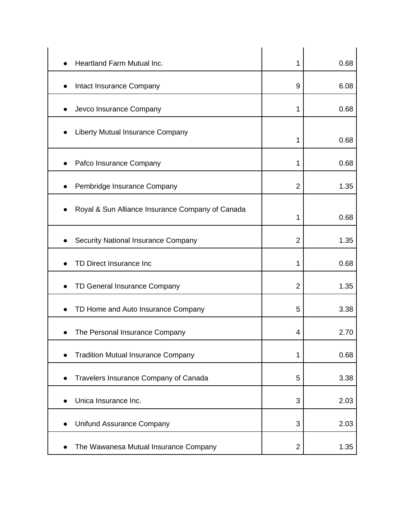| Heartland Farm Mutual Inc.                                    | 1              | 0.68 |
|---------------------------------------------------------------|----------------|------|
| Intact Insurance Company                                      | 9              | 6.08 |
| Jevco Insurance Company<br>$\bullet$                          | 1              | 0.68 |
| Liberty Mutual Insurance Company<br>$\bullet$                 | 1              | 0.68 |
| Pafco Insurance Company                                       | 1              | 0.68 |
| Pembridge Insurance Company<br>$\bullet$                      | $\overline{2}$ | 1.35 |
| Royal & Sun Alliance Insurance Company of Canada<br>$\bullet$ | 1              | 0.68 |
| <b>Security National Insurance Company</b>                    | $\overline{2}$ | 1.35 |
| TD Direct Insurance Inc                                       | 1              | 0.68 |
| TD General Insurance Company                                  | $\overline{2}$ | 1.35 |
| TD Home and Auto Insurance Company<br>$\bullet$               | 5              | 3.38 |
| The Personal Insurance Company                                | 4              | 2.70 |
| <b>Tradition Mutual Insurance Company</b><br>$\bullet$        | 1              | 0.68 |
| Travelers Insurance Company of Canada<br>$\bullet$            | 5              | 3.38 |
| Unica Insurance Inc.<br>$\bullet$                             | 3              | 2.03 |
| Unifund Assurance Company<br>$\bullet$                        | 3              | 2.03 |
| The Wawanesa Mutual Insurance Company                         | $\overline{2}$ | 1.35 |